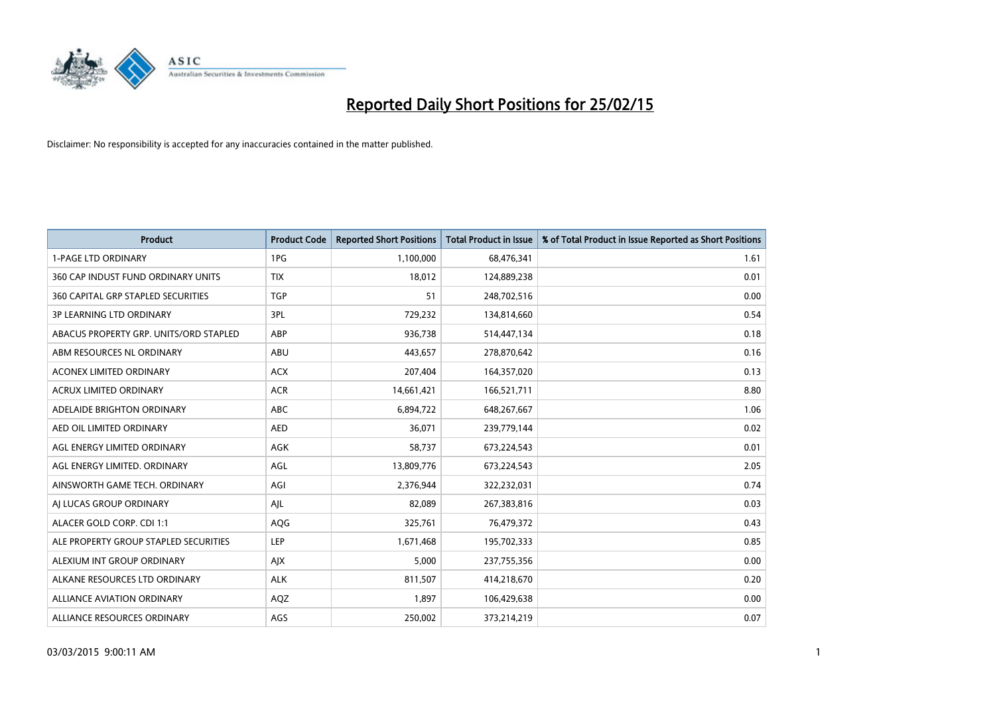

| <b>Product</b>                            | <b>Product Code</b> | <b>Reported Short Positions</b> | <b>Total Product in Issue</b> | % of Total Product in Issue Reported as Short Positions |
|-------------------------------------------|---------------------|---------------------------------|-------------------------------|---------------------------------------------------------|
| <b>1-PAGE LTD ORDINARY</b>                | 1PG                 | 1,100,000                       | 68,476,341                    | 1.61                                                    |
| 360 CAP INDUST FUND ORDINARY UNITS        | <b>TIX</b>          | 18,012                          | 124,889,238                   | 0.01                                                    |
| <b>360 CAPITAL GRP STAPLED SECURITIES</b> | <b>TGP</b>          | 51                              | 248,702,516                   | 0.00                                                    |
| <b>3P LEARNING LTD ORDINARY</b>           | 3PL                 | 729,232                         | 134,814,660                   | 0.54                                                    |
| ABACUS PROPERTY GRP. UNITS/ORD STAPLED    | ABP                 | 936,738                         | 514,447,134                   | 0.18                                                    |
| ABM RESOURCES NL ORDINARY                 | ABU                 | 443,657                         | 278,870,642                   | 0.16                                                    |
| <b>ACONEX LIMITED ORDINARY</b>            | <b>ACX</b>          | 207,404                         | 164,357,020                   | 0.13                                                    |
| ACRUX LIMITED ORDINARY                    | <b>ACR</b>          | 14,661,421                      | 166,521,711                   | 8.80                                                    |
| ADELAIDE BRIGHTON ORDINARY                | <b>ABC</b>          | 6,894,722                       | 648,267,667                   | 1.06                                                    |
| AED OIL LIMITED ORDINARY                  | <b>AED</b>          | 36,071                          | 239,779,144                   | 0.02                                                    |
| AGL ENERGY LIMITED ORDINARY               | AGK                 | 58,737                          | 673,224,543                   | 0.01                                                    |
| AGL ENERGY LIMITED. ORDINARY              | AGL                 | 13,809,776                      | 673,224,543                   | 2.05                                                    |
| AINSWORTH GAME TECH. ORDINARY             | AGI                 | 2,376,944                       | 322,232,031                   | 0.74                                                    |
| AI LUCAS GROUP ORDINARY                   | AJL                 | 82,089                          | 267,383,816                   | 0.03                                                    |
| ALACER GOLD CORP. CDI 1:1                 | AQG                 | 325,761                         | 76,479,372                    | 0.43                                                    |
| ALE PROPERTY GROUP STAPLED SECURITIES     | LEP                 | 1,671,468                       | 195,702,333                   | 0.85                                                    |
| ALEXIUM INT GROUP ORDINARY                | AJX                 | 5,000                           | 237,755,356                   | 0.00                                                    |
| ALKANE RESOURCES LTD ORDINARY             | <b>ALK</b>          | 811,507                         | 414,218,670                   | 0.20                                                    |
| ALLIANCE AVIATION ORDINARY                | AQZ                 | 1,897                           | 106,429,638                   | 0.00                                                    |
| ALLIANCE RESOURCES ORDINARY               | AGS                 | 250,002                         | 373,214,219                   | 0.07                                                    |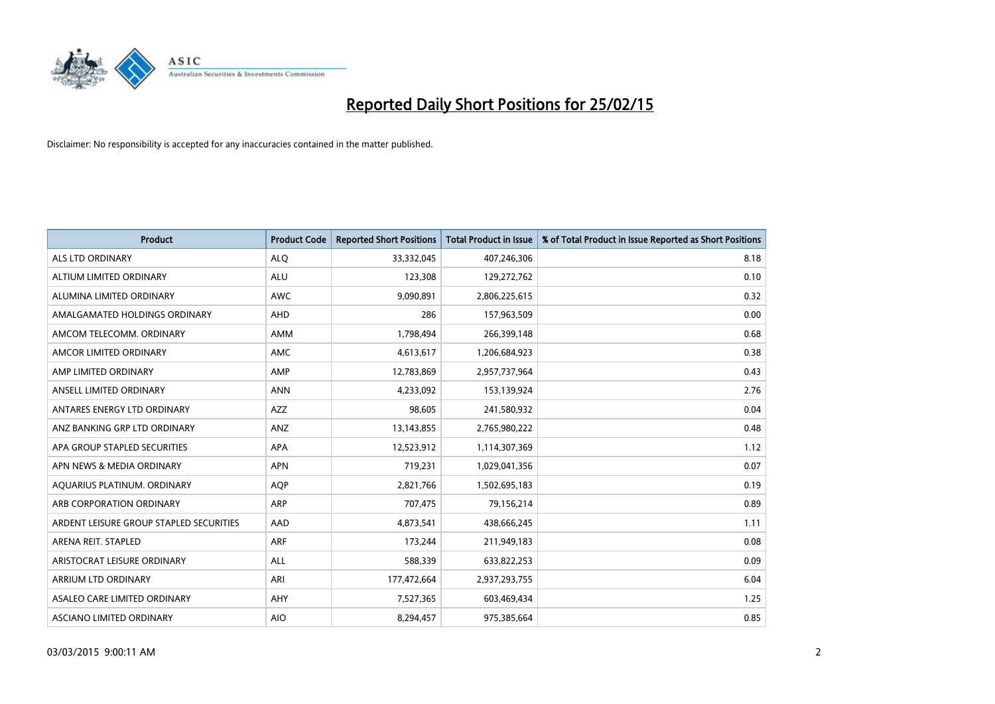

| <b>Product</b>                          | <b>Product Code</b> | <b>Reported Short Positions</b> | <b>Total Product in Issue</b> | % of Total Product in Issue Reported as Short Positions |
|-----------------------------------------|---------------------|---------------------------------|-------------------------------|---------------------------------------------------------|
| ALS LTD ORDINARY                        | <b>ALQ</b>          | 33,332,045                      | 407,246,306                   | 8.18                                                    |
| ALTIUM LIMITED ORDINARY                 | <b>ALU</b>          | 123,308                         | 129,272,762                   | 0.10                                                    |
| ALUMINA LIMITED ORDINARY                | <b>AWC</b>          | 9,090,891                       | 2,806,225,615                 | 0.32                                                    |
| AMALGAMATED HOLDINGS ORDINARY           | <b>AHD</b>          | 286                             | 157,963,509                   | 0.00                                                    |
| AMCOM TELECOMM, ORDINARY                | <b>AMM</b>          | 1,798,494                       | 266,399,148                   | 0.68                                                    |
| AMCOR LIMITED ORDINARY                  | <b>AMC</b>          | 4,613,617                       | 1,206,684,923                 | 0.38                                                    |
| AMP LIMITED ORDINARY                    | AMP                 | 12,783,869                      | 2,957,737,964                 | 0.43                                                    |
| ANSELL LIMITED ORDINARY                 | <b>ANN</b>          | 4,233,092                       | 153,139,924                   | 2.76                                                    |
| ANTARES ENERGY LTD ORDINARY             | <b>AZZ</b>          | 98.605                          | 241,580,932                   | 0.04                                                    |
| ANZ BANKING GRP LTD ORDINARY            | ANZ                 | 13,143,855                      | 2,765,980,222                 | 0.48                                                    |
| APA GROUP STAPLED SECURITIES            | APA                 | 12,523,912                      | 1,114,307,369                 | 1.12                                                    |
| APN NEWS & MEDIA ORDINARY               | <b>APN</b>          | 719,231                         | 1,029,041,356                 | 0.07                                                    |
| AQUARIUS PLATINUM. ORDINARY             | <b>AOP</b>          | 2,821,766                       | 1,502,695,183                 | 0.19                                                    |
| ARB CORPORATION ORDINARY                | ARP                 | 707,475                         | 79,156,214                    | 0.89                                                    |
| ARDENT LEISURE GROUP STAPLED SECURITIES | AAD                 | 4,873,541                       | 438,666,245                   | 1.11                                                    |
| ARENA REIT. STAPLED                     | ARF                 | 173,244                         | 211,949,183                   | 0.08                                                    |
| ARISTOCRAT LEISURE ORDINARY             | ALL                 | 588,339                         | 633,822,253                   | 0.09                                                    |
| ARRIUM LTD ORDINARY                     | ARI                 | 177,472,664                     | 2,937,293,755                 | 6.04                                                    |
| ASALEO CARE LIMITED ORDINARY            | AHY                 | 7,527,365                       | 603,469,434                   | 1.25                                                    |
| ASCIANO LIMITED ORDINARY                | <b>AIO</b>          | 8,294,457                       | 975,385,664                   | 0.85                                                    |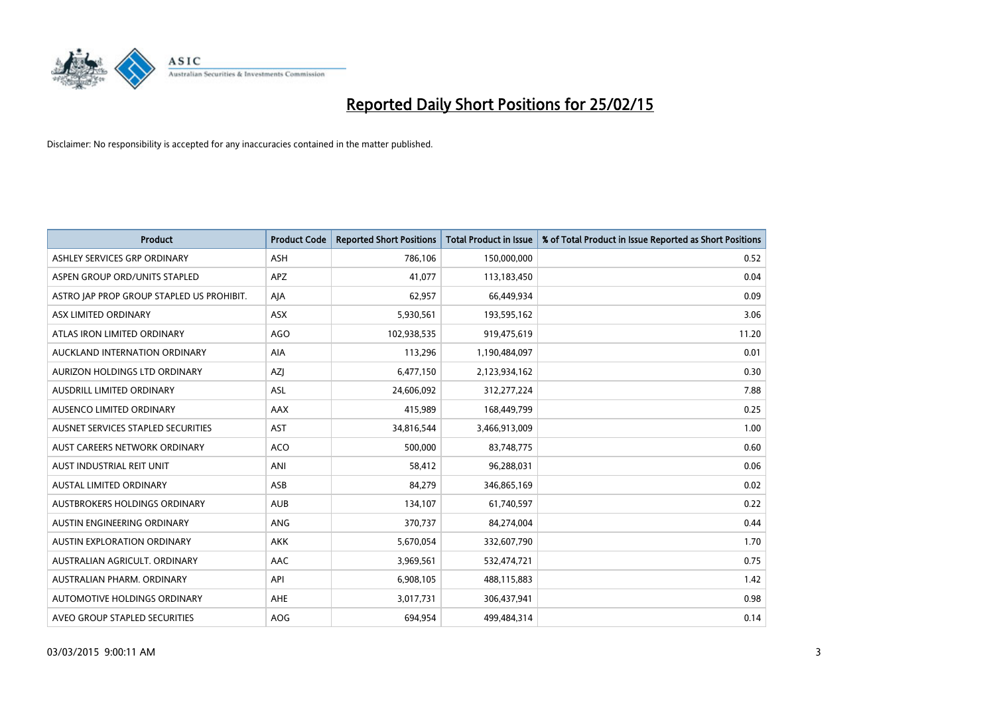

| <b>Product</b>                            | <b>Product Code</b> | <b>Reported Short Positions</b> | <b>Total Product in Issue</b> | % of Total Product in Issue Reported as Short Positions |
|-------------------------------------------|---------------------|---------------------------------|-------------------------------|---------------------------------------------------------|
| ASHLEY SERVICES GRP ORDINARY              | ASH                 | 786,106                         | 150,000,000                   | 0.52                                                    |
| ASPEN GROUP ORD/UNITS STAPLED             | <b>APZ</b>          | 41,077                          | 113,183,450                   | 0.04                                                    |
| ASTRO JAP PROP GROUP STAPLED US PROHIBIT. | AJA                 | 62,957                          | 66,449,934                    | 0.09                                                    |
| ASX LIMITED ORDINARY                      | ASX                 | 5,930,561                       | 193,595,162                   | 3.06                                                    |
| ATLAS IRON LIMITED ORDINARY               | <b>AGO</b>          | 102,938,535                     | 919,475,619                   | 11.20                                                   |
| AUCKLAND INTERNATION ORDINARY             | AIA                 | 113,296                         | 1,190,484,097                 | 0.01                                                    |
| AURIZON HOLDINGS LTD ORDINARY             | AZJ                 | 6,477,150                       | 2,123,934,162                 | 0.30                                                    |
| AUSDRILL LIMITED ORDINARY                 | ASL                 | 24,606,092                      | 312,277,224                   | 7.88                                                    |
| AUSENCO LIMITED ORDINARY                  | AAX                 | 415,989                         | 168,449,799                   | 0.25                                                    |
| AUSNET SERVICES STAPLED SECURITIES        | AST                 | 34,816,544                      | 3,466,913,009                 | 1.00                                                    |
| AUST CAREERS NETWORK ORDINARY             | <b>ACO</b>          | 500,000                         | 83,748,775                    | 0.60                                                    |
| AUST INDUSTRIAL REIT UNIT                 | ANI                 | 58,412                          | 96,288,031                    | 0.06                                                    |
| AUSTAL LIMITED ORDINARY                   | ASB                 | 84,279                          | 346,865,169                   | 0.02                                                    |
| AUSTBROKERS HOLDINGS ORDINARY             | <b>AUB</b>          | 134,107                         | 61,740,597                    | 0.22                                                    |
| AUSTIN ENGINEERING ORDINARY               | <b>ANG</b>          | 370,737                         | 84,274,004                    | 0.44                                                    |
| <b>AUSTIN EXPLORATION ORDINARY</b>        | <b>AKK</b>          | 5,670,054                       | 332,607,790                   | 1.70                                                    |
| AUSTRALIAN AGRICULT. ORDINARY             | AAC                 | 3,969,561                       | 532,474,721                   | 0.75                                                    |
| AUSTRALIAN PHARM. ORDINARY                | API                 | 6,908,105                       | 488,115,883                   | 1.42                                                    |
| AUTOMOTIVE HOLDINGS ORDINARY              | <b>AHE</b>          | 3,017,731                       | 306,437,941                   | 0.98                                                    |
| AVEO GROUP STAPLED SECURITIES             | <b>AOG</b>          | 694,954                         | 499,484,314                   | 0.14                                                    |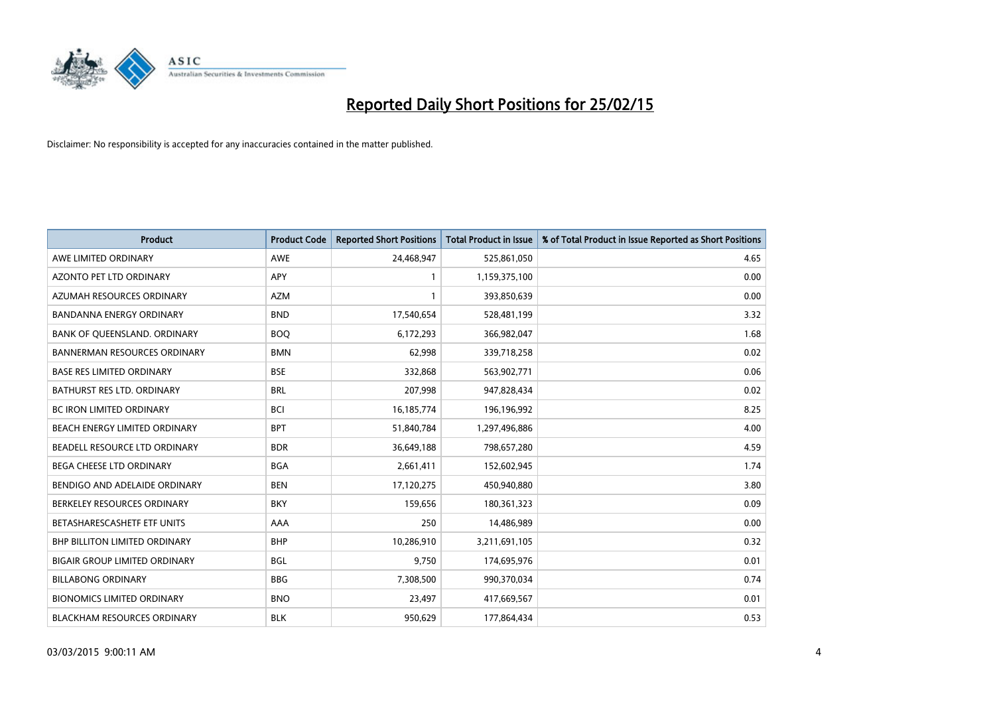

| <b>Product</b>                       | <b>Product Code</b> | <b>Reported Short Positions</b> | <b>Total Product in Issue</b> | % of Total Product in Issue Reported as Short Positions |
|--------------------------------------|---------------------|---------------------------------|-------------------------------|---------------------------------------------------------|
| AWE LIMITED ORDINARY                 | AWE                 | 24,468,947                      | 525,861,050                   | 4.65                                                    |
| AZONTO PET LTD ORDINARY              | APY                 | 1                               | 1,159,375,100                 | 0.00                                                    |
| AZUMAH RESOURCES ORDINARY            | <b>AZM</b>          | $\mathbf{1}$                    | 393,850,639                   | 0.00                                                    |
| <b>BANDANNA ENERGY ORDINARY</b>      | <b>BND</b>          | 17,540,654                      | 528,481,199                   | 3.32                                                    |
| BANK OF QUEENSLAND. ORDINARY         | <b>BOQ</b>          | 6,172,293                       | 366,982,047                   | 1.68                                                    |
| <b>BANNERMAN RESOURCES ORDINARY</b>  | <b>BMN</b>          | 62,998                          | 339,718,258                   | 0.02                                                    |
| <b>BASE RES LIMITED ORDINARY</b>     | <b>BSE</b>          | 332,868                         | 563,902,771                   | 0.06                                                    |
| BATHURST RES LTD. ORDINARY           | <b>BRL</b>          | 207,998                         | 947,828,434                   | 0.02                                                    |
| BC IRON LIMITED ORDINARY             | <b>BCI</b>          | 16,185,774                      | 196,196,992                   | 8.25                                                    |
| BEACH ENERGY LIMITED ORDINARY        | <b>BPT</b>          | 51,840,784                      | 1,297,496,886                 | 4.00                                                    |
| BEADELL RESOURCE LTD ORDINARY        | <b>BDR</b>          | 36,649,188                      | 798,657,280                   | 4.59                                                    |
| <b>BEGA CHEESE LTD ORDINARY</b>      | <b>BGA</b>          | 2,661,411                       | 152,602,945                   | 1.74                                                    |
| BENDIGO AND ADELAIDE ORDINARY        | <b>BEN</b>          | 17,120,275                      | 450,940,880                   | 3.80                                                    |
| BERKELEY RESOURCES ORDINARY          | <b>BKY</b>          | 159,656                         | 180,361,323                   | 0.09                                                    |
| BETASHARESCASHETF ETF UNITS          | AAA                 | 250                             | 14,486,989                    | 0.00                                                    |
| <b>BHP BILLITON LIMITED ORDINARY</b> | <b>BHP</b>          | 10,286,910                      | 3,211,691,105                 | 0.32                                                    |
| <b>BIGAIR GROUP LIMITED ORDINARY</b> | <b>BGL</b>          | 9,750                           | 174,695,976                   | 0.01                                                    |
| <b>BILLABONG ORDINARY</b>            | <b>BBG</b>          | 7,308,500                       | 990,370,034                   | 0.74                                                    |
| <b>BIONOMICS LIMITED ORDINARY</b>    | <b>BNO</b>          | 23,497                          | 417,669,567                   | 0.01                                                    |
| <b>BLACKHAM RESOURCES ORDINARY</b>   | <b>BLK</b>          | 950,629                         | 177,864,434                   | 0.53                                                    |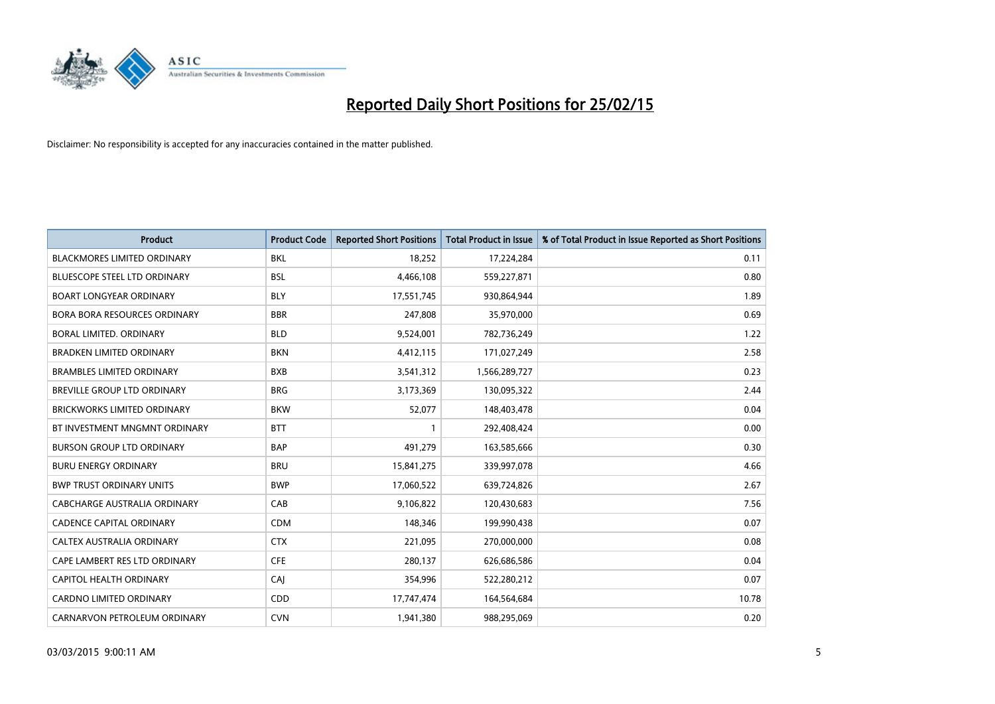

| <b>Product</b>                      | <b>Product Code</b> | <b>Reported Short Positions</b> | <b>Total Product in Issue</b> | % of Total Product in Issue Reported as Short Positions |
|-------------------------------------|---------------------|---------------------------------|-------------------------------|---------------------------------------------------------|
| <b>BLACKMORES LIMITED ORDINARY</b>  | <b>BKL</b>          | 18,252                          | 17,224,284                    | 0.11                                                    |
| BLUESCOPE STEEL LTD ORDINARY        | BSL                 | 4,466,108                       | 559,227,871                   | 0.80                                                    |
| <b>BOART LONGYEAR ORDINARY</b>      | <b>BLY</b>          | 17,551,745                      | 930,864,944                   | 1.89                                                    |
| <b>BORA BORA RESOURCES ORDINARY</b> | <b>BBR</b>          | 247,808                         | 35,970,000                    | 0.69                                                    |
| <b>BORAL LIMITED, ORDINARY</b>      | <b>BLD</b>          | 9,524,001                       | 782,736,249                   | 1.22                                                    |
| <b>BRADKEN LIMITED ORDINARY</b>     | <b>BKN</b>          | 4,412,115                       | 171,027,249                   | 2.58                                                    |
| <b>BRAMBLES LIMITED ORDINARY</b>    | <b>BXB</b>          | 3,541,312                       | 1,566,289,727                 | 0.23                                                    |
| BREVILLE GROUP LTD ORDINARY         | <b>BRG</b>          | 3,173,369                       | 130,095,322                   | 2.44                                                    |
| <b>BRICKWORKS LIMITED ORDINARY</b>  | <b>BKW</b>          | 52,077                          | 148,403,478                   | 0.04                                                    |
| BT INVESTMENT MNGMNT ORDINARY       | <b>BTT</b>          | $\mathbf{1}$                    | 292,408,424                   | 0.00                                                    |
| BURSON GROUP LTD ORDINARY           | <b>BAP</b>          | 491,279                         | 163,585,666                   | 0.30                                                    |
| <b>BURU ENERGY ORDINARY</b>         | <b>BRU</b>          | 15,841,275                      | 339,997,078                   | 4.66                                                    |
| <b>BWP TRUST ORDINARY UNITS</b>     | <b>BWP</b>          | 17,060,522                      | 639,724,826                   | 2.67                                                    |
| <b>CABCHARGE AUSTRALIA ORDINARY</b> | CAB                 | 9,106,822                       | 120,430,683                   | 7.56                                                    |
| <b>CADENCE CAPITAL ORDINARY</b>     | <b>CDM</b>          | 148,346                         | 199,990,438                   | 0.07                                                    |
| CALTEX AUSTRALIA ORDINARY           | <b>CTX</b>          | 221,095                         | 270,000,000                   | 0.08                                                    |
| CAPE LAMBERT RES LTD ORDINARY       | <b>CFE</b>          | 280,137                         | 626,686,586                   | 0.04                                                    |
| <b>CAPITOL HEALTH ORDINARY</b>      | CAJ                 | 354,996                         | 522,280,212                   | 0.07                                                    |
| <b>CARDNO LIMITED ORDINARY</b>      | CDD                 | 17,747,474                      | 164,564,684                   | 10.78                                                   |
| CARNARVON PETROLEUM ORDINARY        | <b>CVN</b>          | 1,941,380                       | 988,295,069                   | 0.20                                                    |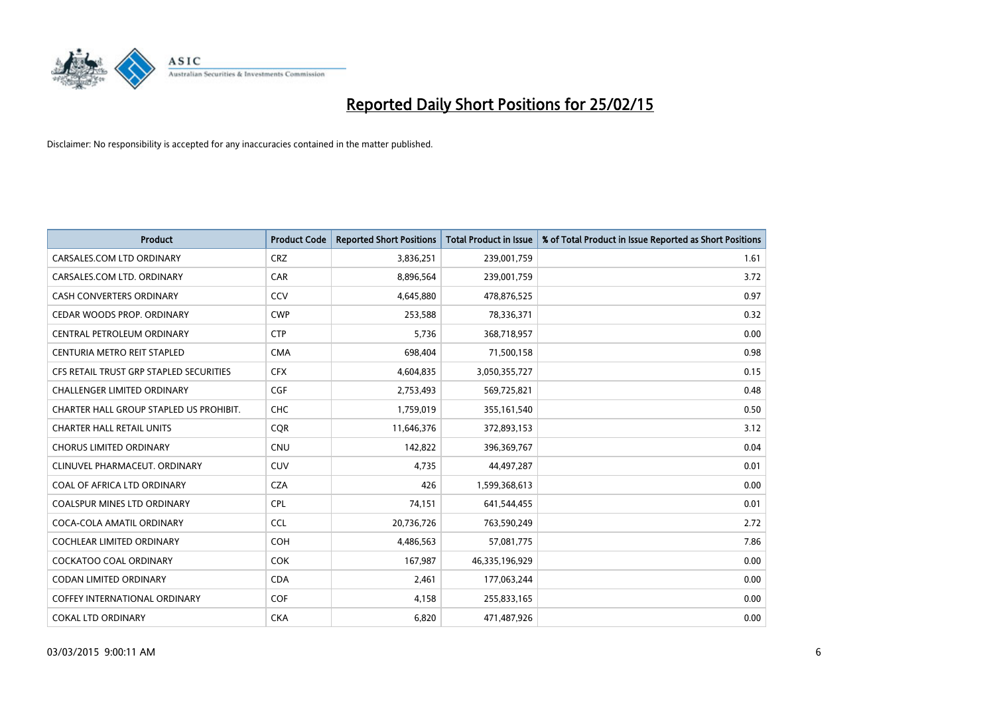

| <b>Product</b>                          | <b>Product Code</b> | <b>Reported Short Positions</b> | <b>Total Product in Issue</b> | % of Total Product in Issue Reported as Short Positions |
|-----------------------------------------|---------------------|---------------------------------|-------------------------------|---------------------------------------------------------|
| CARSALES.COM LTD ORDINARY               | <b>CRZ</b>          | 3,836,251                       | 239,001,759                   | 1.61                                                    |
| CARSALES.COM LTD. ORDINARY              | <b>CAR</b>          | 8,896,564                       | 239,001,759                   | 3.72                                                    |
| <b>CASH CONVERTERS ORDINARY</b>         | CCV                 | 4,645,880                       | 478,876,525                   | 0.97                                                    |
| CEDAR WOODS PROP. ORDINARY              | <b>CWP</b>          | 253,588                         | 78,336,371                    | 0.32                                                    |
| CENTRAL PETROLEUM ORDINARY              | <b>CTP</b>          | 5,736                           | 368,718,957                   | 0.00                                                    |
| CENTURIA METRO REIT STAPLED             | <b>CMA</b>          | 698,404                         | 71,500,158                    | 0.98                                                    |
| CFS RETAIL TRUST GRP STAPLED SECURITIES | <b>CFX</b>          | 4,604,835                       | 3,050,355,727                 | 0.15                                                    |
| CHALLENGER LIMITED ORDINARY             | <b>CGF</b>          | 2,753,493                       | 569,725,821                   | 0.48                                                    |
| CHARTER HALL GROUP STAPLED US PROHIBIT. | <b>CHC</b>          | 1,759,019                       | 355,161,540                   | 0.50                                                    |
| <b>CHARTER HALL RETAIL UNITS</b>        | <b>COR</b>          | 11,646,376                      | 372,893,153                   | 3.12                                                    |
| <b>CHORUS LIMITED ORDINARY</b>          | <b>CNU</b>          | 142,822                         | 396,369,767                   | 0.04                                                    |
| CLINUVEL PHARMACEUT, ORDINARY           | CUV                 | 4,735                           | 44,497,287                    | 0.01                                                    |
| COAL OF AFRICA LTD ORDINARY             | <b>CZA</b>          | 426                             | 1,599,368,613                 | 0.00                                                    |
| <b>COALSPUR MINES LTD ORDINARY</b>      | <b>CPL</b>          | 74,151                          | 641,544,455                   | 0.01                                                    |
| COCA-COLA AMATIL ORDINARY               | <b>CCL</b>          | 20,736,726                      | 763,590,249                   | 2.72                                                    |
| COCHLEAR LIMITED ORDINARY               | <b>COH</b>          | 4,486,563                       | 57,081,775                    | 7.86                                                    |
| COCKATOO COAL ORDINARY                  | <b>COK</b>          | 167,987                         | 46,335,196,929                | 0.00                                                    |
| <b>CODAN LIMITED ORDINARY</b>           | <b>CDA</b>          | 2,461                           | 177,063,244                   | 0.00                                                    |
| <b>COFFEY INTERNATIONAL ORDINARY</b>    | <b>COF</b>          | 4,158                           | 255,833,165                   | 0.00                                                    |
| <b>COKAL LTD ORDINARY</b>               | <b>CKA</b>          | 6,820                           | 471,487,926                   | 0.00                                                    |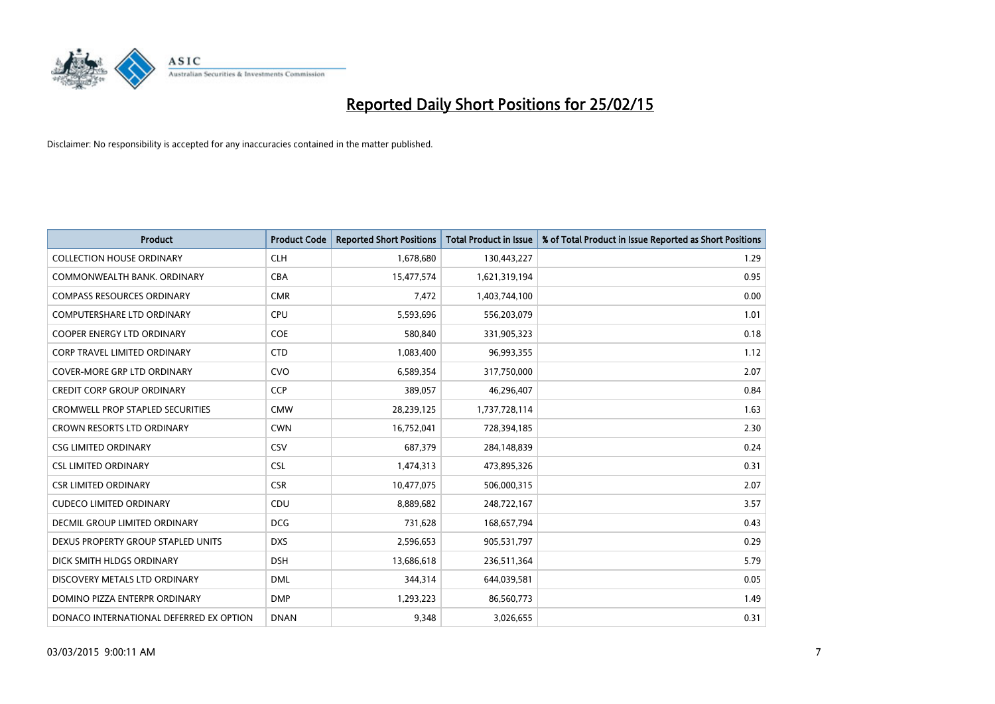

| <b>Product</b>                          | <b>Product Code</b> | <b>Reported Short Positions</b> | <b>Total Product in Issue</b> | % of Total Product in Issue Reported as Short Positions |
|-----------------------------------------|---------------------|---------------------------------|-------------------------------|---------------------------------------------------------|
| <b>COLLECTION HOUSE ORDINARY</b>        | <b>CLH</b>          | 1,678,680                       | 130,443,227                   | 1.29                                                    |
| COMMONWEALTH BANK, ORDINARY             | <b>CBA</b>          | 15,477,574                      | 1,621,319,194                 | 0.95                                                    |
| <b>COMPASS RESOURCES ORDINARY</b>       | <b>CMR</b>          | 7,472                           | 1,403,744,100                 | 0.00                                                    |
| COMPUTERSHARE LTD ORDINARY              | <b>CPU</b>          | 5,593,696                       | 556,203,079                   | 1.01                                                    |
| <b>COOPER ENERGY LTD ORDINARY</b>       | <b>COE</b>          | 580,840                         | 331,905,323                   | 0.18                                                    |
| <b>CORP TRAVEL LIMITED ORDINARY</b>     | <b>CTD</b>          | 1,083,400                       | 96,993,355                    | 1.12                                                    |
| <b>COVER-MORE GRP LTD ORDINARY</b>      | <b>CVO</b>          | 6,589,354                       | 317,750,000                   | 2.07                                                    |
| <b>CREDIT CORP GROUP ORDINARY</b>       | <b>CCP</b>          | 389,057                         | 46,296,407                    | 0.84                                                    |
| <b>CROMWELL PROP STAPLED SECURITIES</b> | <b>CMW</b>          | 28,239,125                      | 1,737,728,114                 | 1.63                                                    |
| <b>CROWN RESORTS LTD ORDINARY</b>       | <b>CWN</b>          | 16,752,041                      | 728,394,185                   | 2.30                                                    |
| <b>CSG LIMITED ORDINARY</b>             | CSV                 | 687,379                         | 284,148,839                   | 0.24                                                    |
| <b>CSL LIMITED ORDINARY</b>             | <b>CSL</b>          | 1,474,313                       | 473,895,326                   | 0.31                                                    |
| <b>CSR LIMITED ORDINARY</b>             | <b>CSR</b>          | 10,477,075                      | 506,000,315                   | 2.07                                                    |
| <b>CUDECO LIMITED ORDINARY</b>          | CDU                 | 8,889,682                       | 248,722,167                   | 3.57                                                    |
| <b>DECMIL GROUP LIMITED ORDINARY</b>    | <b>DCG</b>          | 731,628                         | 168,657,794                   | 0.43                                                    |
| DEXUS PROPERTY GROUP STAPLED UNITS      | <b>DXS</b>          | 2,596,653                       | 905,531,797                   | 0.29                                                    |
| DICK SMITH HLDGS ORDINARY               | <b>DSH</b>          | 13,686,618                      | 236,511,364                   | 5.79                                                    |
| DISCOVERY METALS LTD ORDINARY           | <b>DML</b>          | 344,314                         | 644,039,581                   | 0.05                                                    |
| DOMINO PIZZA ENTERPR ORDINARY           | <b>DMP</b>          | 1,293,223                       | 86,560,773                    | 1.49                                                    |
| DONACO INTERNATIONAL DEFERRED EX OPTION | <b>DNAN</b>         | 9,348                           | 3,026,655                     | 0.31                                                    |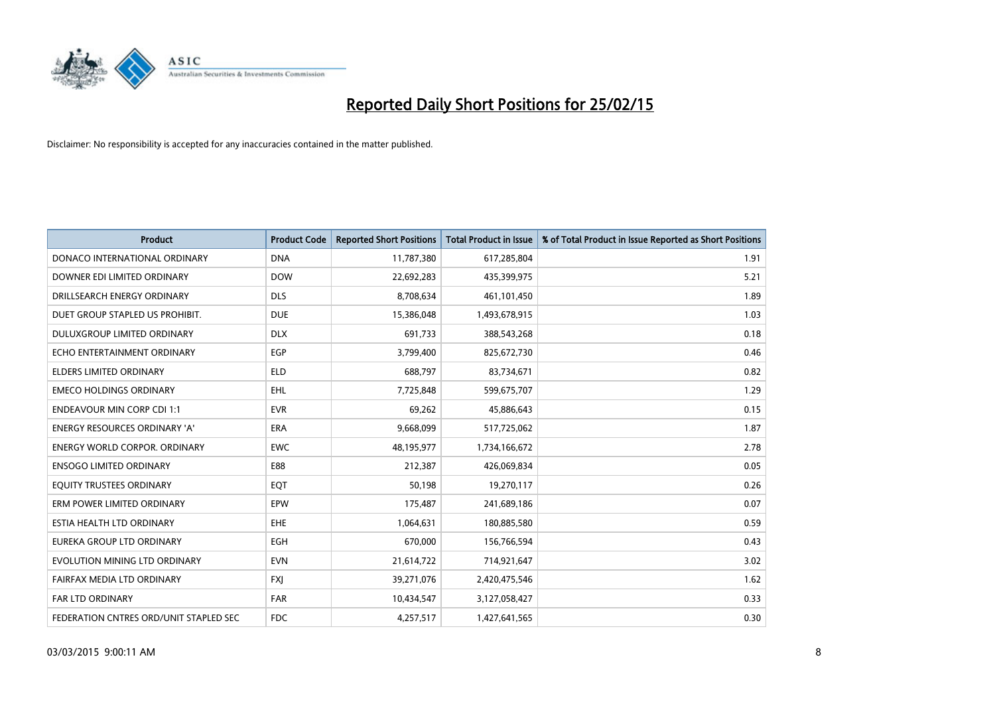

| <b>Product</b>                         | <b>Product Code</b> | <b>Reported Short Positions</b> | <b>Total Product in Issue</b> | % of Total Product in Issue Reported as Short Positions |
|----------------------------------------|---------------------|---------------------------------|-------------------------------|---------------------------------------------------------|
| DONACO INTERNATIONAL ORDINARY          | <b>DNA</b>          | 11,787,380                      | 617,285,804                   | 1.91                                                    |
| DOWNER EDI LIMITED ORDINARY            | <b>DOW</b>          | 22,692,283                      | 435,399,975                   | 5.21                                                    |
| DRILLSEARCH ENERGY ORDINARY            | <b>DLS</b>          | 8,708,634                       | 461,101,450                   | 1.89                                                    |
| DUET GROUP STAPLED US PROHIBIT.        | <b>DUE</b>          | 15,386,048                      | 1,493,678,915                 | 1.03                                                    |
| <b>DULUXGROUP LIMITED ORDINARY</b>     | <b>DLX</b>          | 691,733                         | 388,543,268                   | 0.18                                                    |
| ECHO ENTERTAINMENT ORDINARY            | EGP                 | 3,799,400                       | 825,672,730                   | 0.46                                                    |
| <b>ELDERS LIMITED ORDINARY</b>         | <b>ELD</b>          | 688,797                         | 83,734,671                    | 0.82                                                    |
| <b>EMECO HOLDINGS ORDINARY</b>         | <b>EHL</b>          | 7,725,848                       | 599,675,707                   | 1.29                                                    |
| <b>ENDEAVOUR MIN CORP CDI 1:1</b>      | <b>EVR</b>          | 69,262                          | 45,886,643                    | 0.15                                                    |
| <b>ENERGY RESOURCES ORDINARY 'A'</b>   | <b>ERA</b>          | 9,668,099                       | 517,725,062                   | 1.87                                                    |
| <b>ENERGY WORLD CORPOR. ORDINARY</b>   | <b>EWC</b>          | 48,195,977                      | 1,734,166,672                 | 2.78                                                    |
| <b>ENSOGO LIMITED ORDINARY</b>         | E88                 | 212,387                         | 426,069,834                   | 0.05                                                    |
| EQUITY TRUSTEES ORDINARY               | EQT                 | 50,198                          | 19,270,117                    | 0.26                                                    |
| ERM POWER LIMITED ORDINARY             | EPW                 | 175,487                         | 241,689,186                   | 0.07                                                    |
| ESTIA HEALTH LTD ORDINARY              | EHE                 | 1,064,631                       | 180,885,580                   | 0.59                                                    |
| EUREKA GROUP LTD ORDINARY              | EGH                 | 670,000                         | 156,766,594                   | 0.43                                                    |
| EVOLUTION MINING LTD ORDINARY          | <b>EVN</b>          | 21,614,722                      | 714,921,647                   | 3.02                                                    |
| FAIRFAX MEDIA LTD ORDINARY             | <b>FXJ</b>          | 39,271,076                      | 2,420,475,546                 | 1.62                                                    |
| FAR LTD ORDINARY                       | <b>FAR</b>          | 10,434,547                      | 3,127,058,427                 | 0.33                                                    |
| FEDERATION CNTRES ORD/UNIT STAPLED SEC | <b>FDC</b>          | 4,257,517                       | 1,427,641,565                 | 0.30                                                    |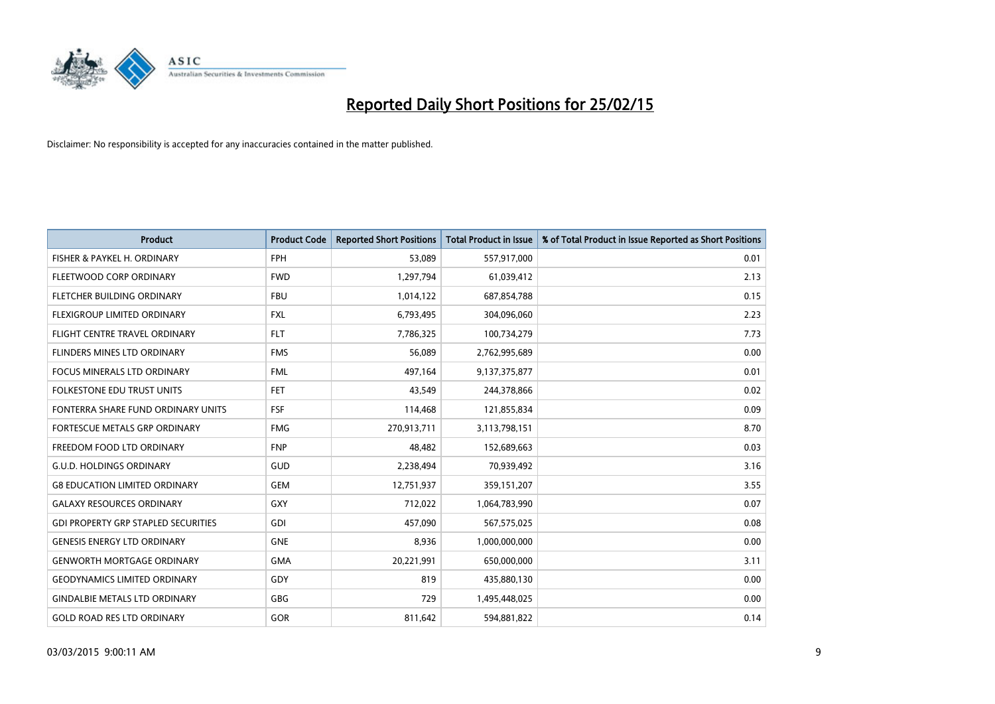

| <b>Product</b>                             | <b>Product Code</b> | <b>Reported Short Positions</b> | <b>Total Product in Issue</b> | % of Total Product in Issue Reported as Short Positions |
|--------------------------------------------|---------------------|---------------------------------|-------------------------------|---------------------------------------------------------|
| FISHER & PAYKEL H. ORDINARY                | <b>FPH</b>          | 53,089                          | 557,917,000                   | 0.01                                                    |
| FLEETWOOD CORP ORDINARY                    | <b>FWD</b>          | 1,297,794                       | 61,039,412                    | 2.13                                                    |
| FLETCHER BUILDING ORDINARY                 | <b>FBU</b>          | 1,014,122                       | 687,854,788                   | 0.15                                                    |
| FLEXIGROUP LIMITED ORDINARY                | <b>FXL</b>          | 6,793,495                       | 304,096,060                   | 2.23                                                    |
| FLIGHT CENTRE TRAVEL ORDINARY              | <b>FLT</b>          | 7,786,325                       | 100,734,279                   | 7.73                                                    |
| FLINDERS MINES LTD ORDINARY                | <b>FMS</b>          | 56,089                          | 2,762,995,689                 | 0.00                                                    |
| <b>FOCUS MINERALS LTD ORDINARY</b>         | <b>FML</b>          | 497,164                         | 9,137,375,877                 | 0.01                                                    |
| FOLKESTONE EDU TRUST UNITS                 | FET                 | 43,549                          | 244,378,866                   | 0.02                                                    |
| FONTERRA SHARE FUND ORDINARY UNITS         | FSF                 | 114,468                         | 121,855,834                   | 0.09                                                    |
| FORTESCUE METALS GRP ORDINARY              | <b>FMG</b>          | 270,913,711                     | 3,113,798,151                 | 8.70                                                    |
| FREEDOM FOOD LTD ORDINARY                  | <b>FNP</b>          | 48,482                          | 152,689,663                   | 0.03                                                    |
| <b>G.U.D. HOLDINGS ORDINARY</b>            | GUD                 | 2,238,494                       | 70,939,492                    | 3.16                                                    |
| <b>G8 EDUCATION LIMITED ORDINARY</b>       | <b>GEM</b>          | 12,751,937                      | 359,151,207                   | 3.55                                                    |
| <b>GALAXY RESOURCES ORDINARY</b>           | GXY                 | 712,022                         | 1,064,783,990                 | 0.07                                                    |
| <b>GDI PROPERTY GRP STAPLED SECURITIES</b> | GDI                 | 457,090                         | 567,575,025                   | 0.08                                                    |
| <b>GENESIS ENERGY LTD ORDINARY</b>         | <b>GNE</b>          | 8,936                           | 1,000,000,000                 | 0.00                                                    |
| <b>GENWORTH MORTGAGE ORDINARY</b>          | <b>GMA</b>          | 20,221,991                      | 650,000,000                   | 3.11                                                    |
| <b>GEODYNAMICS LIMITED ORDINARY</b>        | GDY                 | 819                             | 435,880,130                   | 0.00                                                    |
| <b>GINDALBIE METALS LTD ORDINARY</b>       | GBG                 | 729                             | 1,495,448,025                 | 0.00                                                    |
| <b>GOLD ROAD RES LTD ORDINARY</b>          | GOR                 | 811,642                         | 594,881,822                   | 0.14                                                    |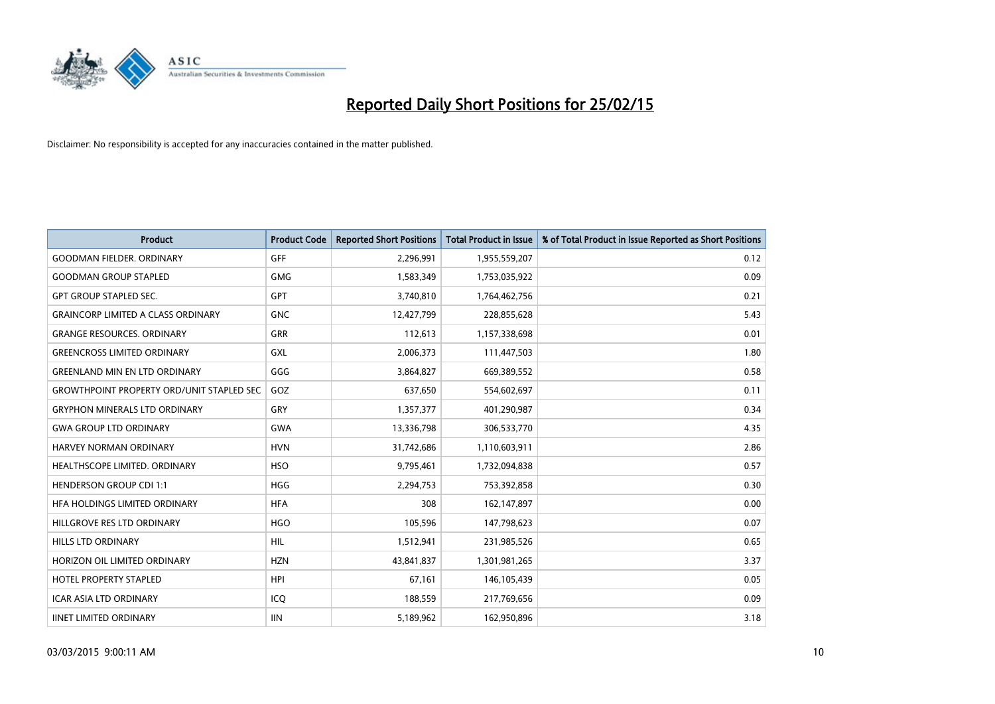

| <b>Product</b>                                   | <b>Product Code</b> | <b>Reported Short Positions</b> | <b>Total Product in Issue</b> | % of Total Product in Issue Reported as Short Positions |
|--------------------------------------------------|---------------------|---------------------------------|-------------------------------|---------------------------------------------------------|
| <b>GOODMAN FIELDER, ORDINARY</b>                 | <b>GFF</b>          | 2,296,991                       | 1,955,559,207                 | 0.12                                                    |
| <b>GOODMAN GROUP STAPLED</b>                     | <b>GMG</b>          | 1,583,349                       | 1,753,035,922                 | 0.09                                                    |
| <b>GPT GROUP STAPLED SEC.</b>                    | <b>GPT</b>          | 3,740,810                       | 1,764,462,756                 | 0.21                                                    |
| <b>GRAINCORP LIMITED A CLASS ORDINARY</b>        | <b>GNC</b>          | 12,427,799                      | 228,855,628                   | 5.43                                                    |
| <b>GRANGE RESOURCES, ORDINARY</b>                | <b>GRR</b>          | 112,613                         | 1,157,338,698                 | 0.01                                                    |
| <b>GREENCROSS LIMITED ORDINARY</b>               | <b>GXL</b>          | 2,006,373                       | 111,447,503                   | 1.80                                                    |
| <b>GREENLAND MIN EN LTD ORDINARY</b>             | GGG                 | 3,864,827                       | 669,389,552                   | 0.58                                                    |
| <b>GROWTHPOINT PROPERTY ORD/UNIT STAPLED SEC</b> | GOZ                 | 637,650                         | 554,602,697                   | 0.11                                                    |
| <b>GRYPHON MINERALS LTD ORDINARY</b>             | GRY                 | 1,357,377                       | 401,290,987                   | 0.34                                                    |
| <b>GWA GROUP LTD ORDINARY</b>                    | <b>GWA</b>          | 13,336,798                      | 306,533,770                   | 4.35                                                    |
| HARVEY NORMAN ORDINARY                           | <b>HVN</b>          | 31,742,686                      | 1,110,603,911                 | 2.86                                                    |
| HEALTHSCOPE LIMITED. ORDINARY                    | <b>HSO</b>          | 9,795,461                       | 1,732,094,838                 | 0.57                                                    |
| <b>HENDERSON GROUP CDI 1:1</b>                   | <b>HGG</b>          | 2,294,753                       | 753,392,858                   | 0.30                                                    |
| HFA HOLDINGS LIMITED ORDINARY                    | <b>HFA</b>          | 308                             | 162,147,897                   | 0.00                                                    |
| HILLGROVE RES LTD ORDINARY                       | <b>HGO</b>          | 105,596                         | 147,798,623                   | 0.07                                                    |
| <b>HILLS LTD ORDINARY</b>                        | HIL                 | 1,512,941                       | 231,985,526                   | 0.65                                                    |
| HORIZON OIL LIMITED ORDINARY                     | <b>HZN</b>          | 43,841,837                      | 1,301,981,265                 | 3.37                                                    |
| HOTEL PROPERTY STAPLED                           | <b>HPI</b>          | 67,161                          | 146,105,439                   | 0.05                                                    |
| <b>ICAR ASIA LTD ORDINARY</b>                    | ICQ                 | 188,559                         | 217,769,656                   | 0.09                                                    |
| <b>IINET LIMITED ORDINARY</b>                    | <b>IIN</b>          | 5,189,962                       | 162,950,896                   | 3.18                                                    |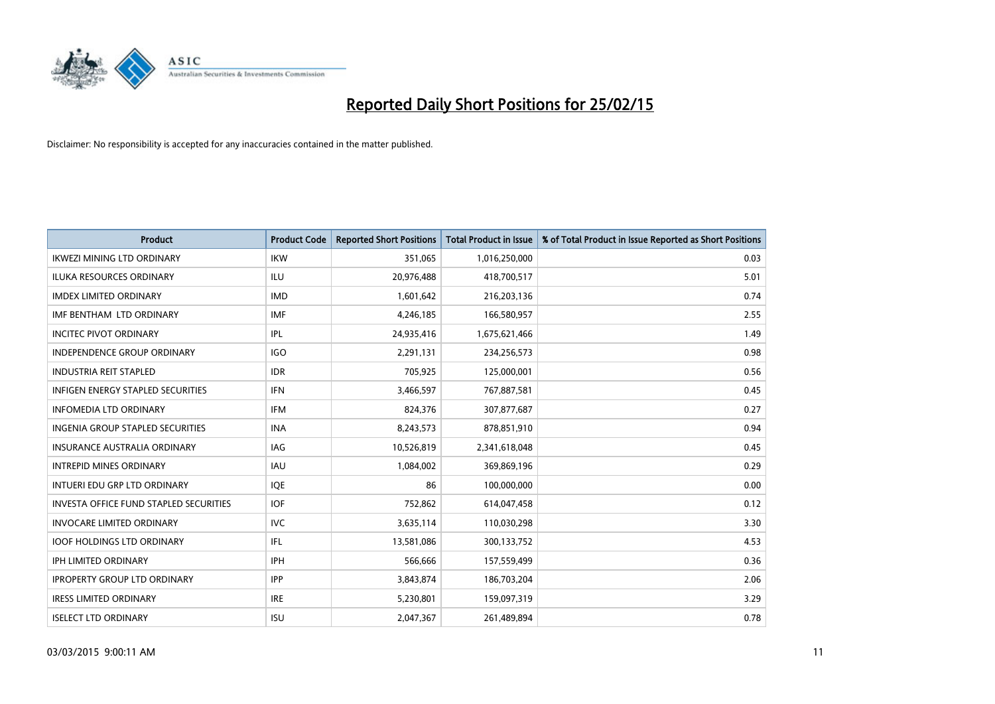

| <b>Product</b>                                | <b>Product Code</b> | <b>Reported Short Positions</b> | <b>Total Product in Issue</b> | % of Total Product in Issue Reported as Short Positions |
|-----------------------------------------------|---------------------|---------------------------------|-------------------------------|---------------------------------------------------------|
| <b>IKWEZI MINING LTD ORDINARY</b>             | <b>IKW</b>          | 351,065                         | 1,016,250,000                 | 0.03                                                    |
| <b>ILUKA RESOURCES ORDINARY</b>               | <b>ILU</b>          | 20,976,488                      | 418,700,517                   | 5.01                                                    |
| <b>IMDEX LIMITED ORDINARY</b>                 | <b>IMD</b>          | 1,601,642                       | 216,203,136                   | 0.74                                                    |
| IMF BENTHAM LTD ORDINARY                      | <b>IMF</b>          | 4,246,185                       | 166,580,957                   | 2.55                                                    |
| <b>INCITEC PIVOT ORDINARY</b>                 | <b>IPL</b>          | 24,935,416                      | 1,675,621,466                 | 1.49                                                    |
| <b>INDEPENDENCE GROUP ORDINARY</b>            | <b>IGO</b>          | 2,291,131                       | 234,256,573                   | 0.98                                                    |
| <b>INDUSTRIA REIT STAPLED</b>                 | <b>IDR</b>          | 705,925                         | 125,000,001                   | 0.56                                                    |
| <b>INFIGEN ENERGY STAPLED SECURITIES</b>      | <b>IFN</b>          | 3,466,597                       | 767,887,581                   | 0.45                                                    |
| <b>INFOMEDIA LTD ORDINARY</b>                 | <b>IFM</b>          | 824,376                         | 307,877,687                   | 0.27                                                    |
| INGENIA GROUP STAPLED SECURITIES              | <b>INA</b>          | 8,243,573                       | 878,851,910                   | 0.94                                                    |
| <b>INSURANCE AUSTRALIA ORDINARY</b>           | <b>IAG</b>          | 10,526,819                      | 2,341,618,048                 | 0.45                                                    |
| <b>INTREPID MINES ORDINARY</b>                | <b>IAU</b>          | 1,084,002                       | 369,869,196                   | 0.29                                                    |
| INTUERI EDU GRP LTD ORDINARY                  | IQE                 | 86                              | 100,000,000                   | 0.00                                                    |
| <b>INVESTA OFFICE FUND STAPLED SECURITIES</b> | <b>IOF</b>          | 752,862                         | 614,047,458                   | 0.12                                                    |
| <b>INVOCARE LIMITED ORDINARY</b>              | <b>IVC</b>          | 3,635,114                       | 110,030,298                   | 3.30                                                    |
| <b>IOOF HOLDINGS LTD ORDINARY</b>             | IFL.                | 13,581,086                      | 300,133,752                   | 4.53                                                    |
| <b>IPH LIMITED ORDINARY</b>                   | <b>IPH</b>          | 566,666                         | 157,559,499                   | 0.36                                                    |
| <b>IPROPERTY GROUP LTD ORDINARY</b>           | <b>IPP</b>          | 3,843,874                       | 186,703,204                   | 2.06                                                    |
| <b>IRESS LIMITED ORDINARY</b>                 | <b>IRE</b>          | 5,230,801                       | 159,097,319                   | 3.29                                                    |
| <b>ISELECT LTD ORDINARY</b>                   | <b>ISU</b>          | 2,047,367                       | 261,489,894                   | 0.78                                                    |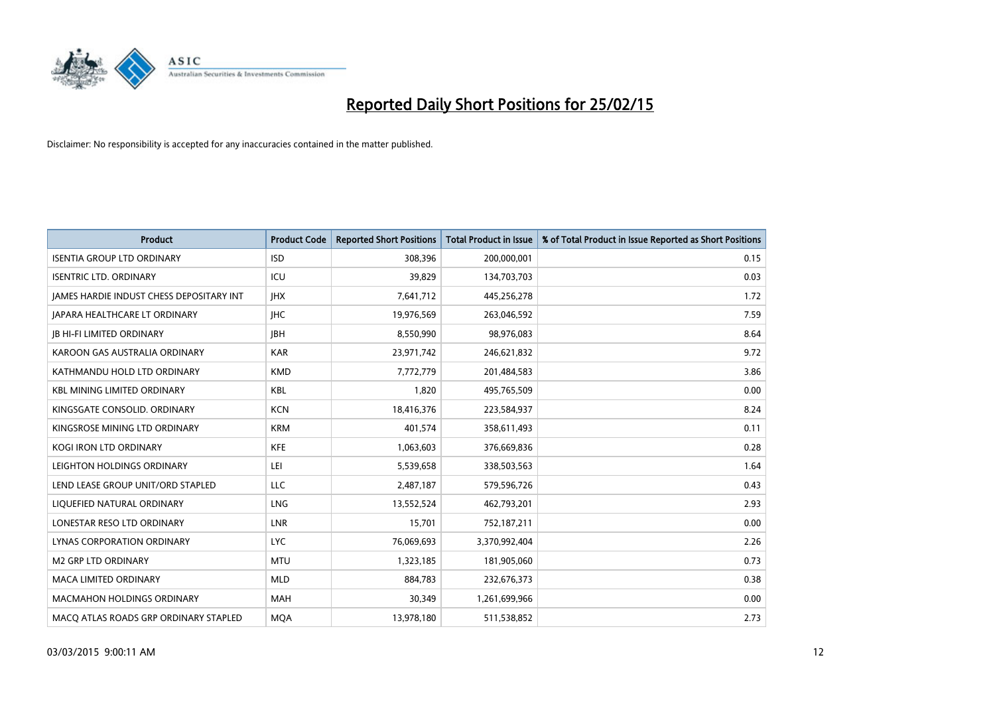

| <b>Product</b>                                  | <b>Product Code</b> | <b>Reported Short Positions</b> | <b>Total Product in Issue</b> | % of Total Product in Issue Reported as Short Positions |
|-------------------------------------------------|---------------------|---------------------------------|-------------------------------|---------------------------------------------------------|
| <b>ISENTIA GROUP LTD ORDINARY</b>               | <b>ISD</b>          | 308,396                         | 200,000,001                   | 0.15                                                    |
| <b>ISENTRIC LTD. ORDINARY</b>                   | ICU                 | 39,829                          | 134,703,703                   | 0.03                                                    |
| <b>JAMES HARDIE INDUST CHESS DEPOSITARY INT</b> | <b>IHX</b>          | 7,641,712                       | 445,256,278                   | 1.72                                                    |
| <b>JAPARA HEALTHCARE LT ORDINARY</b>            | <b>IHC</b>          | 19,976,569                      | 263,046,592                   | 7.59                                                    |
| <b>IB HI-FI LIMITED ORDINARY</b>                | <b>IBH</b>          | 8,550,990                       | 98,976,083                    | 8.64                                                    |
| KAROON GAS AUSTRALIA ORDINARY                   | <b>KAR</b>          | 23,971,742                      | 246,621,832                   | 9.72                                                    |
| KATHMANDU HOLD LTD ORDINARY                     | <b>KMD</b>          | 7,772,779                       | 201,484,583                   | 3.86                                                    |
| <b>KBL MINING LIMITED ORDINARY</b>              | <b>KBL</b>          | 1,820                           | 495,765,509                   | 0.00                                                    |
| KINGSGATE CONSOLID. ORDINARY                    | <b>KCN</b>          | 18,416,376                      | 223,584,937                   | 8.24                                                    |
| KINGSROSE MINING LTD ORDINARY                   | <b>KRM</b>          | 401,574                         | 358,611,493                   | 0.11                                                    |
| KOGI IRON LTD ORDINARY                          | <b>KFE</b>          | 1,063,603                       | 376,669,836                   | 0.28                                                    |
| LEIGHTON HOLDINGS ORDINARY                      | LEI                 | 5,539,658                       | 338,503,563                   | 1.64                                                    |
| LEND LEASE GROUP UNIT/ORD STAPLED               | <b>LLC</b>          | 2,487,187                       | 579,596,726                   | 0.43                                                    |
| LIQUEFIED NATURAL ORDINARY                      | <b>LNG</b>          | 13,552,524                      | 462,793,201                   | 2.93                                                    |
| LONESTAR RESO LTD ORDINARY                      | <b>LNR</b>          | 15,701                          | 752,187,211                   | 0.00                                                    |
| LYNAS CORPORATION ORDINARY                      | <b>LYC</b>          | 76,069,693                      | 3,370,992,404                 | 2.26                                                    |
| <b>M2 GRP LTD ORDINARY</b>                      | <b>MTU</b>          | 1,323,185                       | 181,905,060                   | 0.73                                                    |
| <b>MACA LIMITED ORDINARY</b>                    | <b>MLD</b>          | 884,783                         | 232,676,373                   | 0.38                                                    |
| <b>MACMAHON HOLDINGS ORDINARY</b>               | <b>MAH</b>          | 30,349                          | 1,261,699,966                 | 0.00                                                    |
| MACO ATLAS ROADS GRP ORDINARY STAPLED           | <b>MOA</b>          | 13,978,180                      | 511,538,852                   | 2.73                                                    |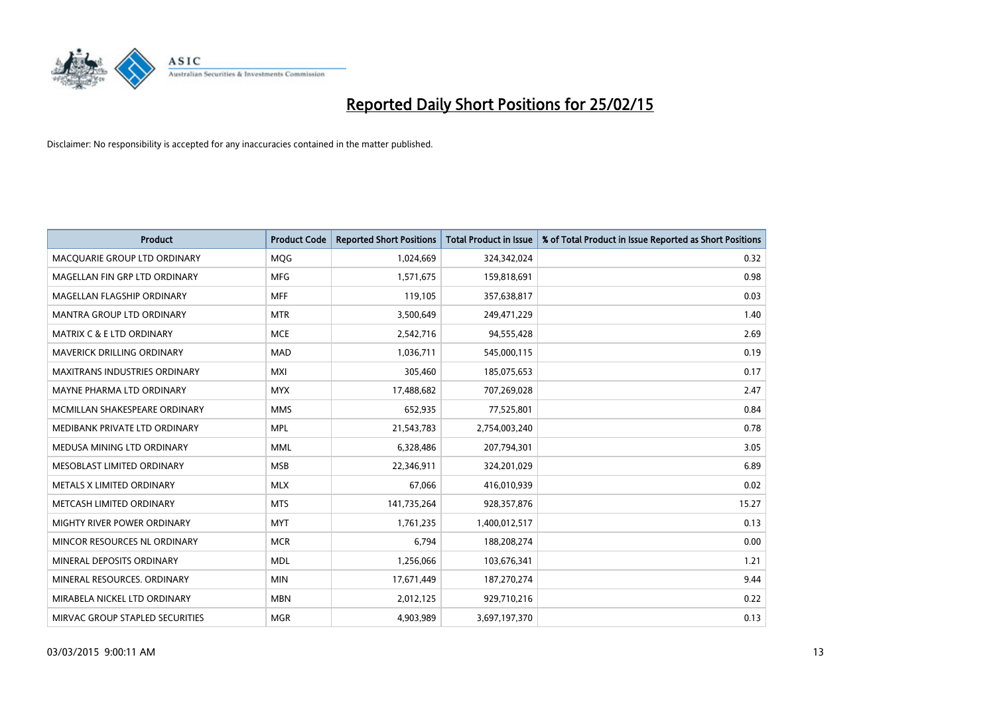

| <b>Product</b>                       | <b>Product Code</b> | <b>Reported Short Positions</b> | <b>Total Product in Issue</b> | % of Total Product in Issue Reported as Short Positions |
|--------------------------------------|---------------------|---------------------------------|-------------------------------|---------------------------------------------------------|
| MACQUARIE GROUP LTD ORDINARY         | MQG                 | 1,024,669                       | 324,342,024                   | 0.32                                                    |
| MAGELLAN FIN GRP LTD ORDINARY        | MFG                 | 1,571,675                       | 159,818,691                   | 0.98                                                    |
| MAGELLAN FLAGSHIP ORDINARY           | <b>MFF</b>          | 119,105                         | 357,638,817                   | 0.03                                                    |
| MANTRA GROUP LTD ORDINARY            | <b>MTR</b>          | 3,500,649                       | 249,471,229                   | 1.40                                                    |
| <b>MATRIX C &amp; E LTD ORDINARY</b> | <b>MCE</b>          | 2,542,716                       | 94,555,428                    | 2.69                                                    |
| MAVERICK DRILLING ORDINARY           | <b>MAD</b>          | 1,036,711                       | 545,000,115                   | 0.19                                                    |
| <b>MAXITRANS INDUSTRIES ORDINARY</b> | <b>MXI</b>          | 305,460                         | 185,075,653                   | 0.17                                                    |
| MAYNE PHARMA LTD ORDINARY            | <b>MYX</b>          | 17,488,682                      | 707,269,028                   | 2.47                                                    |
| MCMILLAN SHAKESPEARE ORDINARY        | <b>MMS</b>          | 652,935                         | 77,525,801                    | 0.84                                                    |
| MEDIBANK PRIVATE LTD ORDINARY        | <b>MPL</b>          | 21,543,783                      | 2,754,003,240                 | 0.78                                                    |
| MEDUSA MINING LTD ORDINARY           | <b>MML</b>          | 6,328,486                       | 207,794,301                   | 3.05                                                    |
| MESOBLAST LIMITED ORDINARY           | <b>MSB</b>          | 22,346,911                      | 324,201,029                   | 6.89                                                    |
| METALS X LIMITED ORDINARY            | <b>MLX</b>          | 67,066                          | 416,010,939                   | 0.02                                                    |
| METCASH LIMITED ORDINARY             | <b>MTS</b>          | 141,735,264                     | 928,357,876                   | 15.27                                                   |
| MIGHTY RIVER POWER ORDINARY          | <b>MYT</b>          | 1,761,235                       | 1,400,012,517                 | 0.13                                                    |
| MINCOR RESOURCES NL ORDINARY         | <b>MCR</b>          | 6,794                           | 188,208,274                   | 0.00                                                    |
| MINERAL DEPOSITS ORDINARY            | <b>MDL</b>          | 1,256,066                       | 103,676,341                   | 1.21                                                    |
| MINERAL RESOURCES. ORDINARY          | <b>MIN</b>          | 17,671,449                      | 187,270,274                   | 9.44                                                    |
| MIRABELA NICKEL LTD ORDINARY         | <b>MBN</b>          | 2,012,125                       | 929,710,216                   | 0.22                                                    |
| MIRVAC GROUP STAPLED SECURITIES      | <b>MGR</b>          | 4,903,989                       | 3,697,197,370                 | 0.13                                                    |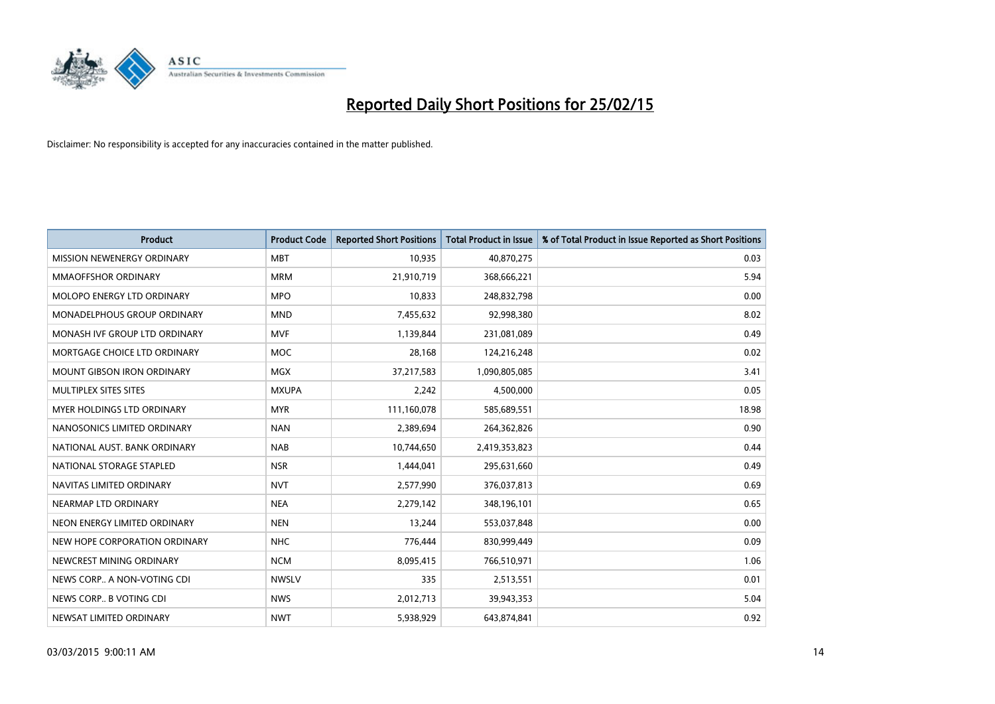

| <b>Product</b>                    | <b>Product Code</b> | <b>Reported Short Positions</b> | <b>Total Product in Issue</b> | % of Total Product in Issue Reported as Short Positions |
|-----------------------------------|---------------------|---------------------------------|-------------------------------|---------------------------------------------------------|
| MISSION NEWENERGY ORDINARY        | <b>MBT</b>          | 10,935                          | 40,870,275                    | 0.03                                                    |
| <b>MMAOFFSHOR ORDINARY</b>        | <b>MRM</b>          | 21,910,719                      | 368,666,221                   | 5.94                                                    |
| MOLOPO ENERGY LTD ORDINARY        | <b>MPO</b>          | 10,833                          | 248,832,798                   | 0.00                                                    |
| MONADELPHOUS GROUP ORDINARY       | <b>MND</b>          | 7,455,632                       | 92,998,380                    | 8.02                                                    |
| MONASH IVF GROUP LTD ORDINARY     | <b>MVF</b>          | 1,139,844                       | 231,081,089                   | 0.49                                                    |
| MORTGAGE CHOICE LTD ORDINARY      | <b>MOC</b>          | 28,168                          | 124,216,248                   | 0.02                                                    |
| <b>MOUNT GIBSON IRON ORDINARY</b> | <b>MGX</b>          | 37,217,583                      | 1,090,805,085                 | 3.41                                                    |
| MULTIPLEX SITES SITES             | <b>MXUPA</b>        | 2,242                           | 4,500,000                     | 0.05                                                    |
| MYER HOLDINGS LTD ORDINARY        | <b>MYR</b>          | 111,160,078                     | 585,689,551                   | 18.98                                                   |
| NANOSONICS LIMITED ORDINARY       | <b>NAN</b>          | 2,389,694                       | 264,362,826                   | 0.90                                                    |
| NATIONAL AUST, BANK ORDINARY      | <b>NAB</b>          | 10,744,650                      | 2,419,353,823                 | 0.44                                                    |
| NATIONAL STORAGE STAPLED          | <b>NSR</b>          | 1,444,041                       | 295,631,660                   | 0.49                                                    |
| NAVITAS LIMITED ORDINARY          | <b>NVT</b>          | 2,577,990                       | 376,037,813                   | 0.69                                                    |
| NEARMAP LTD ORDINARY              | <b>NEA</b>          | 2,279,142                       | 348,196,101                   | 0.65                                                    |
| NEON ENERGY LIMITED ORDINARY      | <b>NEN</b>          | 13,244                          | 553,037,848                   | 0.00                                                    |
| NEW HOPE CORPORATION ORDINARY     | <b>NHC</b>          | 776,444                         | 830,999,449                   | 0.09                                                    |
| NEWCREST MINING ORDINARY          | <b>NCM</b>          | 8,095,415                       | 766,510,971                   | 1.06                                                    |
| NEWS CORP A NON-VOTING CDI        | <b>NWSLV</b>        | 335                             | 2,513,551                     | 0.01                                                    |
| NEWS CORP B VOTING CDI            | <b>NWS</b>          | 2,012,713                       | 39,943,353                    | 5.04                                                    |
| NEWSAT LIMITED ORDINARY           | <b>NWT</b>          | 5,938,929                       | 643,874,841                   | 0.92                                                    |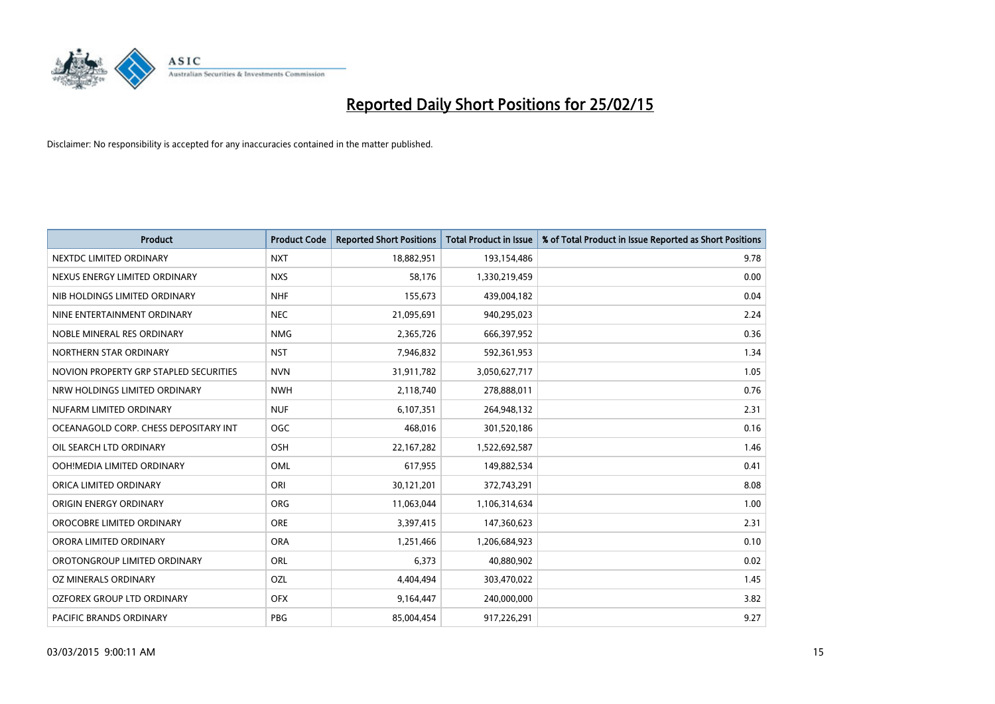

| <b>Product</b>                         | <b>Product Code</b> | <b>Reported Short Positions</b> | <b>Total Product in Issue</b> | % of Total Product in Issue Reported as Short Positions |
|----------------------------------------|---------------------|---------------------------------|-------------------------------|---------------------------------------------------------|
| NEXTDC LIMITED ORDINARY                | <b>NXT</b>          | 18,882,951                      | 193,154,486                   | 9.78                                                    |
| NEXUS ENERGY LIMITED ORDINARY          | <b>NXS</b>          | 58,176                          | 1,330,219,459                 | 0.00                                                    |
| NIB HOLDINGS LIMITED ORDINARY          | <b>NHF</b>          | 155,673                         | 439,004,182                   | 0.04                                                    |
| NINE ENTERTAINMENT ORDINARY            | <b>NEC</b>          | 21,095,691                      | 940,295,023                   | 2.24                                                    |
| NOBLE MINERAL RES ORDINARY             | <b>NMG</b>          | 2,365,726                       | 666,397,952                   | 0.36                                                    |
| NORTHERN STAR ORDINARY                 | <b>NST</b>          | 7,946,832                       | 592,361,953                   | 1.34                                                    |
| NOVION PROPERTY GRP STAPLED SECURITIES | <b>NVN</b>          | 31,911,782                      | 3,050,627,717                 | 1.05                                                    |
| NRW HOLDINGS LIMITED ORDINARY          | <b>NWH</b>          | 2,118,740                       | 278,888,011                   | 0.76                                                    |
| NUFARM LIMITED ORDINARY                | <b>NUF</b>          | 6,107,351                       | 264,948,132                   | 2.31                                                    |
| OCEANAGOLD CORP. CHESS DEPOSITARY INT  | OGC                 | 468,016                         | 301,520,186                   | 0.16                                                    |
| OIL SEARCH LTD ORDINARY                | OSH                 | 22, 167, 282                    | 1,522,692,587                 | 1.46                                                    |
| OOH!MEDIA LIMITED ORDINARY             | <b>OML</b>          | 617,955                         | 149,882,534                   | 0.41                                                    |
| ORICA LIMITED ORDINARY                 | ORI                 | 30,121,201                      | 372,743,291                   | 8.08                                                    |
| ORIGIN ENERGY ORDINARY                 | <b>ORG</b>          | 11,063,044                      | 1,106,314,634                 | 1.00                                                    |
| OROCOBRE LIMITED ORDINARY              | <b>ORE</b>          | 3,397,415                       | 147,360,623                   | 2.31                                                    |
| ORORA LIMITED ORDINARY                 | <b>ORA</b>          | 1,251,466                       | 1,206,684,923                 | 0.10                                                    |
| OROTONGROUP LIMITED ORDINARY           | ORL                 | 6,373                           | 40,880,902                    | 0.02                                                    |
| <b>OZ MINERALS ORDINARY</b>            | OZL                 | 4,404,494                       | 303,470,022                   | 1.45                                                    |
| OZFOREX GROUP LTD ORDINARY             | <b>OFX</b>          | 9,164,447                       | 240,000,000                   | 3.82                                                    |
| PACIFIC BRANDS ORDINARY                | <b>PBG</b>          | 85,004,454                      | 917,226,291                   | 9.27                                                    |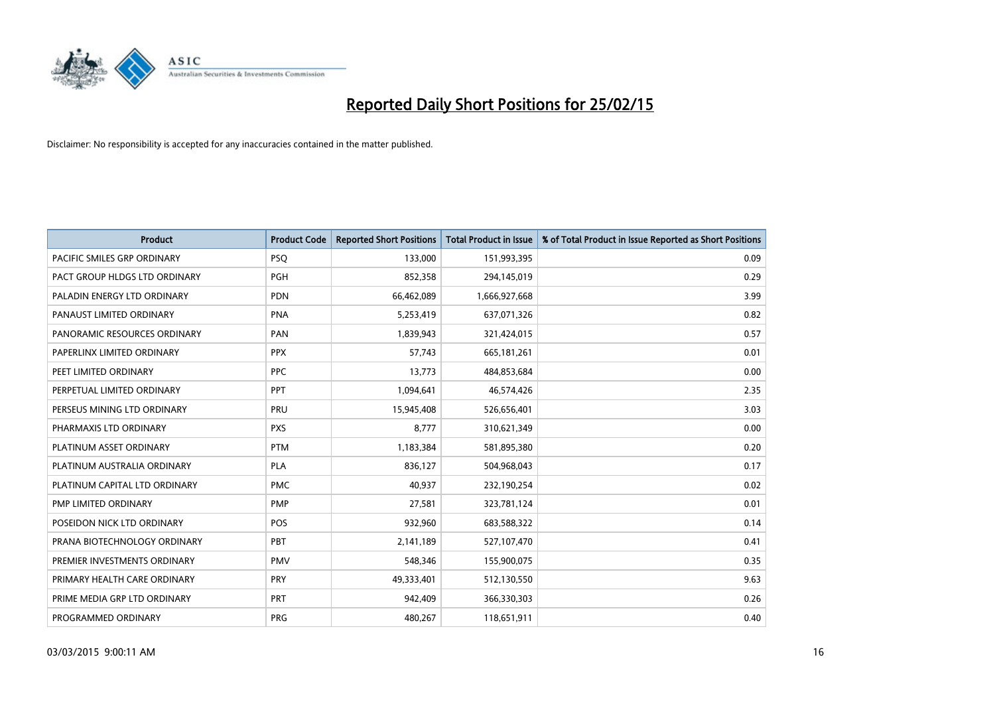

| <b>Product</b>                | <b>Product Code</b> | <b>Reported Short Positions</b> | <b>Total Product in Issue</b> | % of Total Product in Issue Reported as Short Positions |
|-------------------------------|---------------------|---------------------------------|-------------------------------|---------------------------------------------------------|
| PACIFIC SMILES GRP ORDINARY   | <b>PSQ</b>          | 133,000                         | 151,993,395                   | 0.09                                                    |
| PACT GROUP HLDGS LTD ORDINARY | <b>PGH</b>          | 852,358                         | 294,145,019                   | 0.29                                                    |
| PALADIN ENERGY LTD ORDINARY   | <b>PDN</b>          | 66,462,089                      | 1,666,927,668                 | 3.99                                                    |
| PANAUST LIMITED ORDINARY      | <b>PNA</b>          | 5,253,419                       | 637,071,326                   | 0.82                                                    |
| PANORAMIC RESOURCES ORDINARY  | PAN                 | 1,839,943                       | 321,424,015                   | 0.57                                                    |
| PAPERLINX LIMITED ORDINARY    | <b>PPX</b>          | 57,743                          | 665, 181, 261                 | 0.01                                                    |
| PEET LIMITED ORDINARY         | <b>PPC</b>          | 13,773                          | 484,853,684                   | 0.00                                                    |
| PERPETUAL LIMITED ORDINARY    | PPT                 | 1,094,641                       | 46,574,426                    | 2.35                                                    |
| PERSEUS MINING LTD ORDINARY   | PRU                 | 15,945,408                      | 526,656,401                   | 3.03                                                    |
| PHARMAXIS LTD ORDINARY        | <b>PXS</b>          | 8,777                           | 310,621,349                   | 0.00                                                    |
| PLATINUM ASSET ORDINARY       | <b>PTM</b>          | 1,183,384                       | 581,895,380                   | 0.20                                                    |
| PLATINUM AUSTRALIA ORDINARY   | <b>PLA</b>          | 836,127                         | 504,968,043                   | 0.17                                                    |
| PLATINUM CAPITAL LTD ORDINARY | <b>PMC</b>          | 40,937                          | 232,190,254                   | 0.02                                                    |
| PMP LIMITED ORDINARY          | <b>PMP</b>          | 27,581                          | 323,781,124                   | 0.01                                                    |
| POSEIDON NICK LTD ORDINARY    | POS                 | 932,960                         | 683,588,322                   | 0.14                                                    |
| PRANA BIOTECHNOLOGY ORDINARY  | <b>PBT</b>          | 2,141,189                       | 527,107,470                   | 0.41                                                    |
| PREMIER INVESTMENTS ORDINARY  | <b>PMV</b>          | 548,346                         | 155,900,075                   | 0.35                                                    |
| PRIMARY HEALTH CARE ORDINARY  | <b>PRY</b>          | 49,333,401                      | 512,130,550                   | 9.63                                                    |
| PRIME MEDIA GRP LTD ORDINARY  | <b>PRT</b>          | 942,409                         | 366,330,303                   | 0.26                                                    |
| PROGRAMMED ORDINARY           | <b>PRG</b>          | 480,267                         | 118,651,911                   | 0.40                                                    |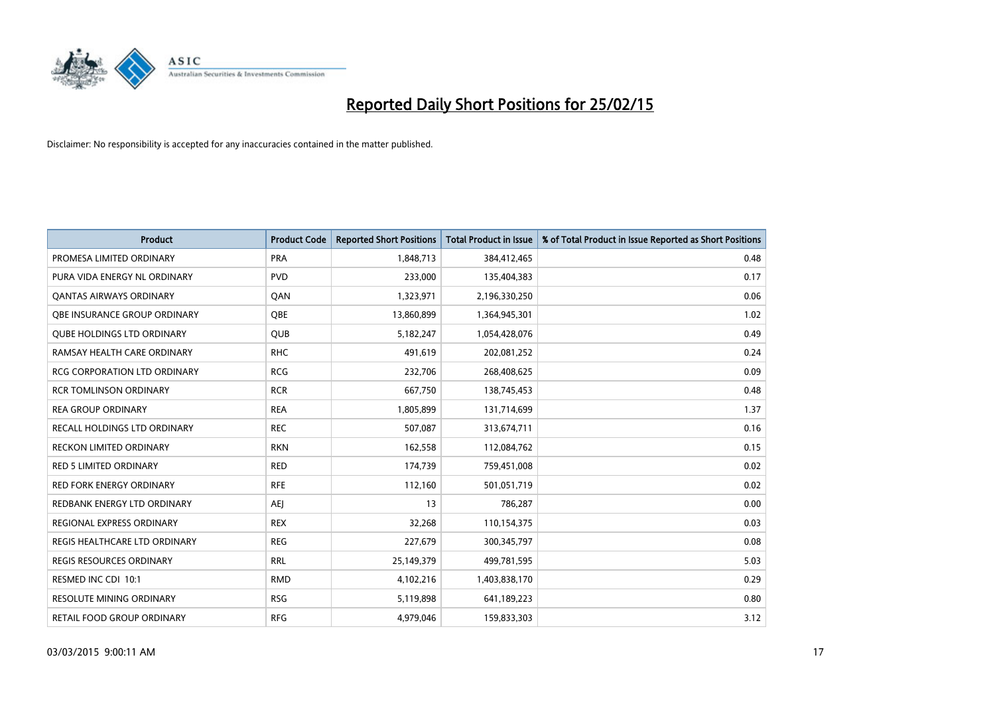

| <b>Product</b>                      | <b>Product Code</b> | <b>Reported Short Positions</b> | <b>Total Product in Issue</b> | % of Total Product in Issue Reported as Short Positions |
|-------------------------------------|---------------------|---------------------------------|-------------------------------|---------------------------------------------------------|
| PROMESA LIMITED ORDINARY            | <b>PRA</b>          | 1,848,713                       | 384,412,465                   | 0.48                                                    |
| PURA VIDA ENERGY NL ORDINARY        | <b>PVD</b>          | 233,000                         | 135,404,383                   | 0.17                                                    |
| <b>QANTAS AIRWAYS ORDINARY</b>      | QAN                 | 1,323,971                       | 2,196,330,250                 | 0.06                                                    |
| OBE INSURANCE GROUP ORDINARY        | <b>OBE</b>          | 13,860,899                      | 1,364,945,301                 | 1.02                                                    |
| <b>QUBE HOLDINGS LTD ORDINARY</b>   | <b>QUB</b>          | 5,182,247                       | 1,054,428,076                 | 0.49                                                    |
| RAMSAY HEALTH CARE ORDINARY         | <b>RHC</b>          | 491,619                         | 202,081,252                   | 0.24                                                    |
| <b>RCG CORPORATION LTD ORDINARY</b> | <b>RCG</b>          | 232,706                         | 268,408,625                   | 0.09                                                    |
| <b>RCR TOMLINSON ORDINARY</b>       | <b>RCR</b>          | 667,750                         | 138,745,453                   | 0.48                                                    |
| <b>REA GROUP ORDINARY</b>           | <b>REA</b>          | 1,805,899                       | 131,714,699                   | 1.37                                                    |
| <b>RECALL HOLDINGS LTD ORDINARY</b> | <b>REC</b>          | 507,087                         | 313,674,711                   | 0.16                                                    |
| RECKON LIMITED ORDINARY             | <b>RKN</b>          | 162,558                         | 112,084,762                   | 0.15                                                    |
| RED 5 LIMITED ORDINARY              | <b>RED</b>          | 174,739                         | 759,451,008                   | 0.02                                                    |
| <b>RED FORK ENERGY ORDINARY</b>     | <b>RFE</b>          | 112,160                         | 501,051,719                   | 0.02                                                    |
| REDBANK ENERGY LTD ORDINARY         | AEJ                 | 13                              | 786,287                       | 0.00                                                    |
| REGIONAL EXPRESS ORDINARY           | <b>REX</b>          | 32,268                          | 110,154,375                   | 0.03                                                    |
| REGIS HEALTHCARE LTD ORDINARY       | <b>REG</b>          | 227,679                         | 300, 345, 797                 | 0.08                                                    |
| REGIS RESOURCES ORDINARY            | <b>RRL</b>          | 25,149,379                      | 499,781,595                   | 5.03                                                    |
| RESMED INC CDI 10:1                 | <b>RMD</b>          | 4,102,216                       | 1,403,838,170                 | 0.29                                                    |
| <b>RESOLUTE MINING ORDINARY</b>     | <b>RSG</b>          | 5,119,898                       | 641,189,223                   | 0.80                                                    |
| RETAIL FOOD GROUP ORDINARY          | <b>RFG</b>          | 4,979,046                       | 159,833,303                   | 3.12                                                    |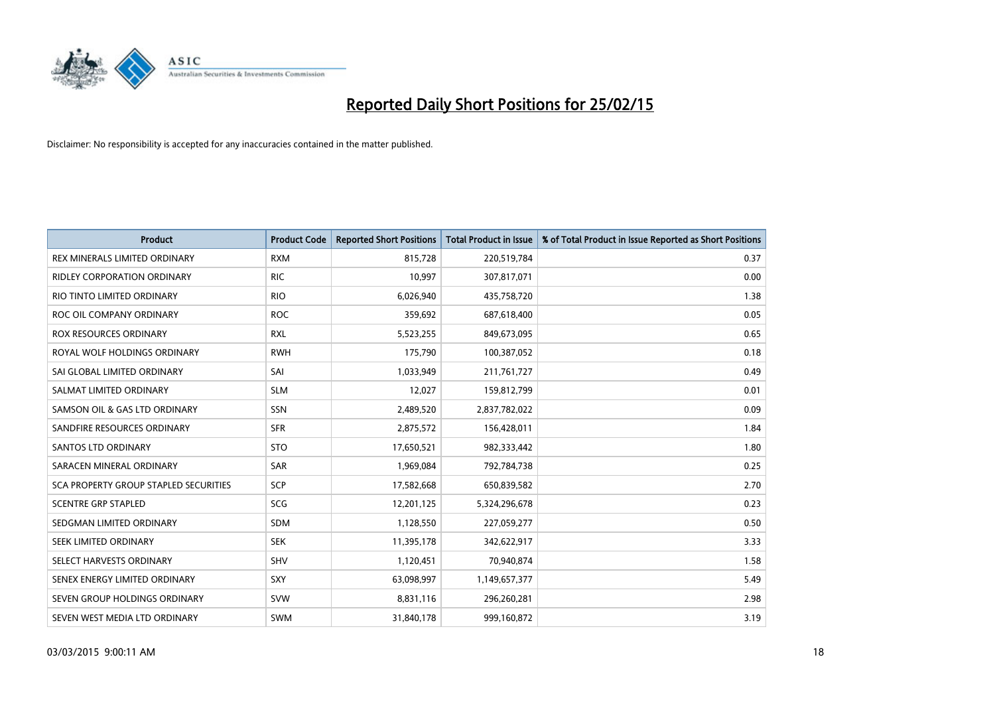

| <b>Product</b>                        | <b>Product Code</b> | <b>Reported Short Positions</b> | <b>Total Product in Issue</b> | % of Total Product in Issue Reported as Short Positions |
|---------------------------------------|---------------------|---------------------------------|-------------------------------|---------------------------------------------------------|
| REX MINERALS LIMITED ORDINARY         | <b>RXM</b>          | 815,728                         | 220,519,784                   | 0.37                                                    |
| <b>RIDLEY CORPORATION ORDINARY</b>    | <b>RIC</b>          | 10,997                          | 307,817,071                   | 0.00                                                    |
| RIO TINTO LIMITED ORDINARY            | <b>RIO</b>          | 6,026,940                       | 435,758,720                   | 1.38                                                    |
| ROC OIL COMPANY ORDINARY              | <b>ROC</b>          | 359,692                         | 687,618,400                   | 0.05                                                    |
| ROX RESOURCES ORDINARY                | <b>RXL</b>          | 5,523,255                       | 849,673,095                   | 0.65                                                    |
| ROYAL WOLF HOLDINGS ORDINARY          | <b>RWH</b>          | 175,790                         | 100,387,052                   | 0.18                                                    |
| SAI GLOBAL LIMITED ORDINARY           | SAI                 | 1,033,949                       | 211,761,727                   | 0.49                                                    |
| SALMAT LIMITED ORDINARY               | <b>SLM</b>          | 12,027                          | 159,812,799                   | 0.01                                                    |
| SAMSON OIL & GAS LTD ORDINARY         | SSN                 | 2,489,520                       | 2,837,782,022                 | 0.09                                                    |
| SANDFIRE RESOURCES ORDINARY           | <b>SFR</b>          | 2,875,572                       | 156,428,011                   | 1.84                                                    |
| <b>SANTOS LTD ORDINARY</b>            | <b>STO</b>          | 17,650,521                      | 982,333,442                   | 1.80                                                    |
| SARACEN MINERAL ORDINARY              | <b>SAR</b>          | 1,969,084                       | 792,784,738                   | 0.25                                                    |
| SCA PROPERTY GROUP STAPLED SECURITIES | SCP                 | 17,582,668                      | 650,839,582                   | 2.70                                                    |
| <b>SCENTRE GRP STAPLED</b>            | SCG                 | 12,201,125                      | 5,324,296,678                 | 0.23                                                    |
| SEDGMAN LIMITED ORDINARY              | <b>SDM</b>          | 1,128,550                       | 227,059,277                   | 0.50                                                    |
| SEEK LIMITED ORDINARY                 | <b>SEK</b>          | 11,395,178                      | 342,622,917                   | 3.33                                                    |
| SELECT HARVESTS ORDINARY              | SHV                 | 1,120,451                       | 70,940,874                    | 1.58                                                    |
| SENEX ENERGY LIMITED ORDINARY         | <b>SXY</b>          | 63,098,997                      | 1,149,657,377                 | 5.49                                                    |
| SEVEN GROUP HOLDINGS ORDINARY         | <b>SVW</b>          | 8,831,116                       | 296,260,281                   | 2.98                                                    |
| SEVEN WEST MEDIA LTD ORDINARY         | <b>SWM</b>          | 31,840,178                      | 999,160,872                   | 3.19                                                    |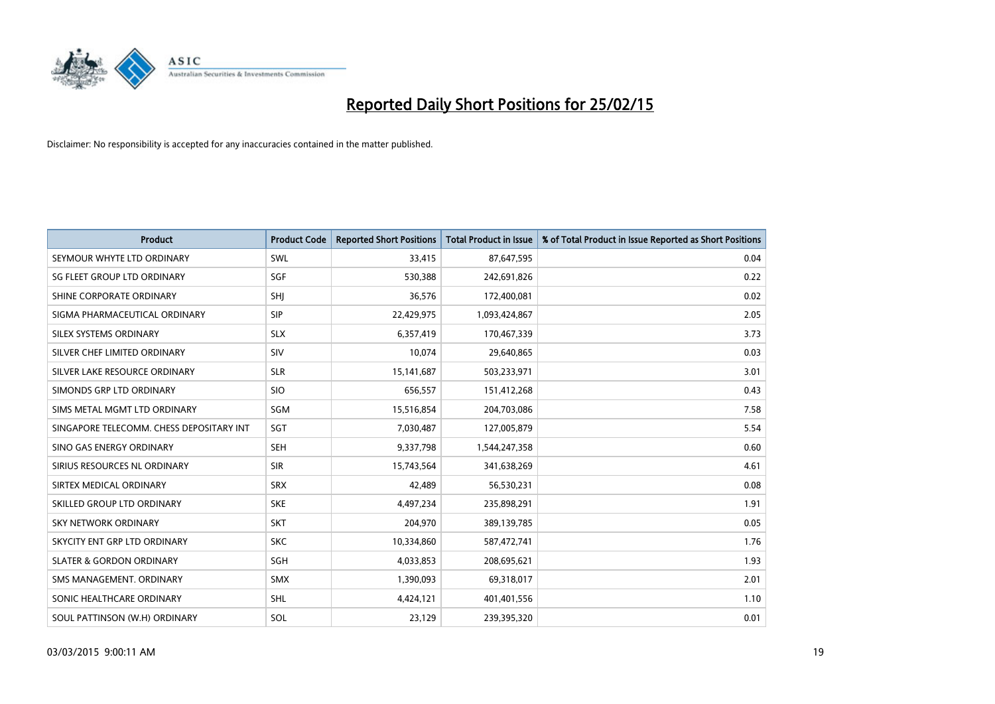

| <b>Product</b>                           | <b>Product Code</b> | <b>Reported Short Positions</b> | <b>Total Product in Issue</b> | % of Total Product in Issue Reported as Short Positions |
|------------------------------------------|---------------------|---------------------------------|-------------------------------|---------------------------------------------------------|
| SEYMOUR WHYTE LTD ORDINARY               | SWL                 | 33,415                          | 87,647,595                    | 0.04                                                    |
| SG FLEET GROUP LTD ORDINARY              | SGF                 | 530,388                         | 242,691,826                   | 0.22                                                    |
| SHINE CORPORATE ORDINARY                 | SHJ                 | 36,576                          | 172,400,081                   | 0.02                                                    |
| SIGMA PHARMACEUTICAL ORDINARY            | <b>SIP</b>          | 22,429,975                      | 1,093,424,867                 | 2.05                                                    |
| SILEX SYSTEMS ORDINARY                   | <b>SLX</b>          | 6,357,419                       | 170,467,339                   | 3.73                                                    |
| SILVER CHEF LIMITED ORDINARY             | SIV                 | 10,074                          | 29,640,865                    | 0.03                                                    |
| SILVER LAKE RESOURCE ORDINARY            | <b>SLR</b>          | 15,141,687                      | 503,233,971                   | 3.01                                                    |
| SIMONDS GRP LTD ORDINARY                 | <b>SIO</b>          | 656,557                         | 151,412,268                   | 0.43                                                    |
| SIMS METAL MGMT LTD ORDINARY             | SGM                 | 15,516,854                      | 204,703,086                   | 7.58                                                    |
| SINGAPORE TELECOMM. CHESS DEPOSITARY INT | SGT                 | 7,030,487                       | 127,005,879                   | 5.54                                                    |
| SINO GAS ENERGY ORDINARY                 | <b>SEH</b>          | 9,337,798                       | 1,544,247,358                 | 0.60                                                    |
| SIRIUS RESOURCES NL ORDINARY             | <b>SIR</b>          | 15,743,564                      | 341,638,269                   | 4.61                                                    |
| SIRTEX MEDICAL ORDINARY                  | <b>SRX</b>          | 42,489                          | 56,530,231                    | 0.08                                                    |
| SKILLED GROUP LTD ORDINARY               | <b>SKE</b>          | 4,497,234                       | 235,898,291                   | 1.91                                                    |
| <b>SKY NETWORK ORDINARY</b>              | <b>SKT</b>          | 204,970                         | 389,139,785                   | 0.05                                                    |
| SKYCITY ENT GRP LTD ORDINARY             | <b>SKC</b>          | 10,334,860                      | 587,472,741                   | 1.76                                                    |
| <b>SLATER &amp; GORDON ORDINARY</b>      | SGH                 | 4,033,853                       | 208,695,621                   | 1.93                                                    |
| SMS MANAGEMENT, ORDINARY                 | <b>SMX</b>          | 1,390,093                       | 69,318,017                    | 2.01                                                    |
| SONIC HEALTHCARE ORDINARY                | SHL                 | 4,424,121                       | 401,401,556                   | 1.10                                                    |
| SOUL PATTINSON (W.H) ORDINARY            | SOL                 | 23,129                          | 239,395,320                   | 0.01                                                    |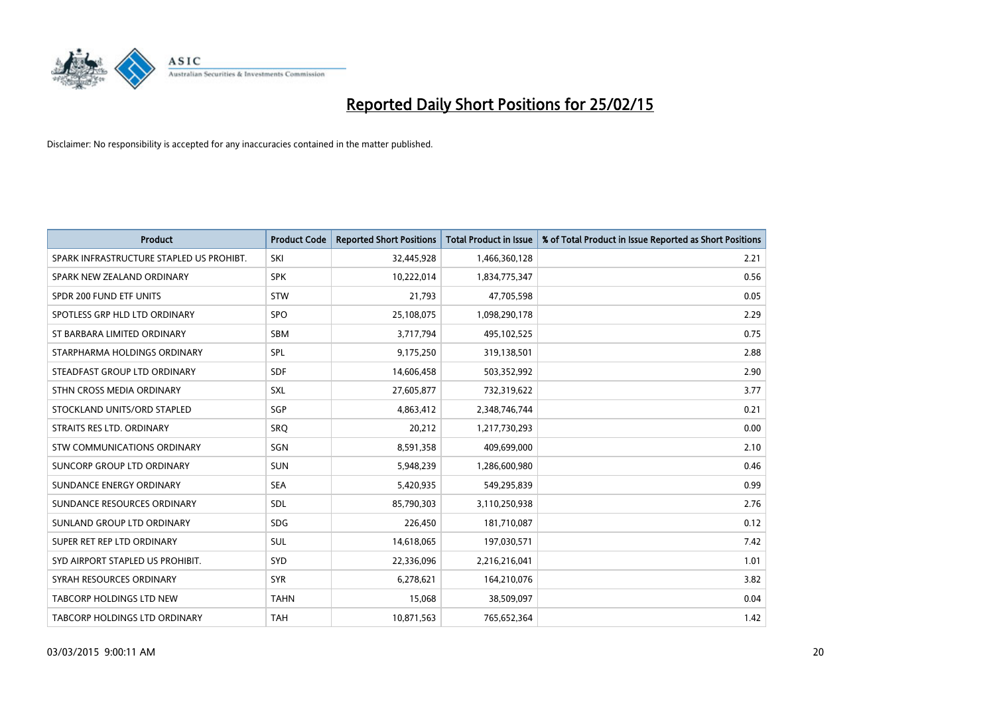

| <b>Product</b>                           | <b>Product Code</b> | <b>Reported Short Positions</b> | <b>Total Product in Issue</b> | % of Total Product in Issue Reported as Short Positions |
|------------------------------------------|---------------------|---------------------------------|-------------------------------|---------------------------------------------------------|
| SPARK INFRASTRUCTURE STAPLED US PROHIBT. | SKI                 | 32,445,928                      | 1,466,360,128                 | 2.21                                                    |
| SPARK NEW ZEALAND ORDINARY               | <b>SPK</b>          | 10,222,014                      | 1,834,775,347                 | 0.56                                                    |
| SPDR 200 FUND ETF UNITS                  | <b>STW</b>          | 21,793                          | 47,705,598                    | 0.05                                                    |
| SPOTLESS GRP HLD LTD ORDINARY            | <b>SPO</b>          | 25,108,075                      | 1,098,290,178                 | 2.29                                                    |
| ST BARBARA LIMITED ORDINARY              | <b>SBM</b>          | 3,717,794                       | 495,102,525                   | 0.75                                                    |
| STARPHARMA HOLDINGS ORDINARY             | SPL                 | 9,175,250                       | 319,138,501                   | 2.88                                                    |
| STEADFAST GROUP LTD ORDINARY             | <b>SDF</b>          | 14,606,458                      | 503,352,992                   | 2.90                                                    |
| STHN CROSS MEDIA ORDINARY                | SXL                 | 27,605,877                      | 732,319,622                   | 3.77                                                    |
| STOCKLAND UNITS/ORD STAPLED              | SGP                 | 4,863,412                       | 2,348,746,744                 | 0.21                                                    |
| STRAITS RES LTD. ORDINARY                | SRO                 | 20,212                          | 1,217,730,293                 | 0.00                                                    |
| STW COMMUNICATIONS ORDINARY              | SGN                 | 8,591,358                       | 409,699,000                   | 2.10                                                    |
| SUNCORP GROUP LTD ORDINARY               | <b>SUN</b>          | 5,948,239                       | 1,286,600,980                 | 0.46                                                    |
| SUNDANCE ENERGY ORDINARY                 | <b>SEA</b>          | 5,420,935                       | 549,295,839                   | 0.99                                                    |
| SUNDANCE RESOURCES ORDINARY              | SDL                 | 85,790,303                      | 3,110,250,938                 | 2.76                                                    |
| SUNLAND GROUP LTD ORDINARY               | <b>SDG</b>          | 226,450                         | 181,710,087                   | 0.12                                                    |
| SUPER RET REP LTD ORDINARY               | SUL                 | 14,618,065                      | 197,030,571                   | 7.42                                                    |
| SYD AIRPORT STAPLED US PROHIBIT.         | SYD                 | 22,336,096                      | 2,216,216,041                 | 1.01                                                    |
| SYRAH RESOURCES ORDINARY                 | <b>SYR</b>          | 6,278,621                       | 164,210,076                   | 3.82                                                    |
| <b>TABCORP HOLDINGS LTD NEW</b>          | <b>TAHN</b>         | 15,068                          | 38,509,097                    | 0.04                                                    |
| <b>TABCORP HOLDINGS LTD ORDINARY</b>     | <b>TAH</b>          | 10,871,563                      | 765,652,364                   | 1.42                                                    |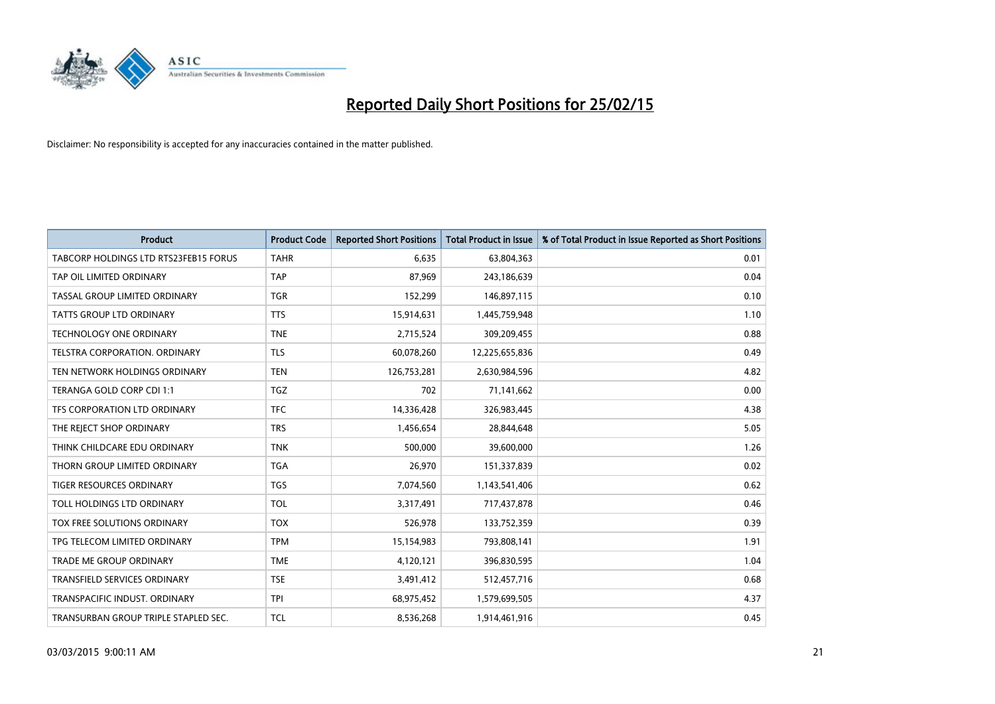

| <b>Product</b>                        | <b>Product Code</b> | <b>Reported Short Positions</b> | <b>Total Product in Issue</b> | % of Total Product in Issue Reported as Short Positions |
|---------------------------------------|---------------------|---------------------------------|-------------------------------|---------------------------------------------------------|
| TABCORP HOLDINGS LTD RTS23FEB15 FORUS | <b>TAHR</b>         | 6,635                           | 63,804,363                    | 0.01                                                    |
| TAP OIL LIMITED ORDINARY              | <b>TAP</b>          | 87,969                          | 243,186,639                   | 0.04                                                    |
| TASSAL GROUP LIMITED ORDINARY         | <b>TGR</b>          | 152,299                         | 146,897,115                   | 0.10                                                    |
| TATTS GROUP LTD ORDINARY              | <b>TTS</b>          | 15,914,631                      | 1,445,759,948                 | 1.10                                                    |
| <b>TECHNOLOGY ONE ORDINARY</b>        | <b>TNE</b>          | 2,715,524                       | 309,209,455                   | 0.88                                                    |
| TELSTRA CORPORATION, ORDINARY         | <b>TLS</b>          | 60,078,260                      | 12,225,655,836                | 0.49                                                    |
| TEN NETWORK HOLDINGS ORDINARY         | <b>TEN</b>          | 126,753,281                     | 2,630,984,596                 | 4.82                                                    |
| TERANGA GOLD CORP CDI 1:1             | <b>TGZ</b>          | 702                             | 71,141,662                    | 0.00                                                    |
| TFS CORPORATION LTD ORDINARY          | <b>TFC</b>          | 14,336,428                      | 326,983,445                   | 4.38                                                    |
| THE REJECT SHOP ORDINARY              | <b>TRS</b>          | 1,456,654                       | 28,844,648                    | 5.05                                                    |
| THINK CHILDCARE EDU ORDINARY          | <b>TNK</b>          | 500,000                         | 39,600,000                    | 1.26                                                    |
| THORN GROUP LIMITED ORDINARY          | <b>TGA</b>          | 26,970                          | 151,337,839                   | 0.02                                                    |
| TIGER RESOURCES ORDINARY              | TGS                 | 7,074,560                       | 1,143,541,406                 | 0.62                                                    |
| TOLL HOLDINGS LTD ORDINARY            | <b>TOL</b>          | 3,317,491                       | 717,437,878                   | 0.46                                                    |
| <b>TOX FREE SOLUTIONS ORDINARY</b>    | <b>TOX</b>          | 526,978                         | 133,752,359                   | 0.39                                                    |
| TPG TELECOM LIMITED ORDINARY          | <b>TPM</b>          | 15,154,983                      | 793,808,141                   | 1.91                                                    |
| TRADE ME GROUP ORDINARY               | <b>TME</b>          | 4,120,121                       | 396,830,595                   | 1.04                                                    |
| TRANSFIELD SERVICES ORDINARY          | <b>TSE</b>          | 3,491,412                       | 512,457,716                   | 0.68                                                    |
| TRANSPACIFIC INDUST, ORDINARY         | <b>TPI</b>          | 68,975,452                      | 1,579,699,505                 | 4.37                                                    |
| TRANSURBAN GROUP TRIPLE STAPLED SEC.  | <b>TCL</b>          | 8,536,268                       | 1,914,461,916                 | 0.45                                                    |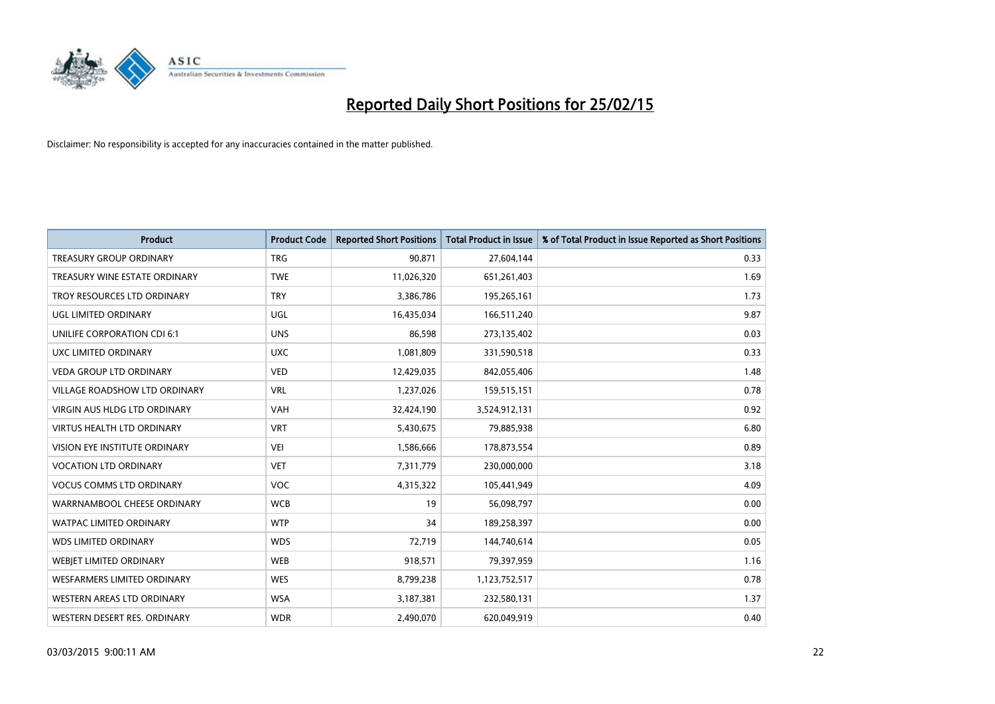

| <b>Product</b>                       | <b>Product Code</b> | <b>Reported Short Positions</b> | <b>Total Product in Issue</b> | % of Total Product in Issue Reported as Short Positions |
|--------------------------------------|---------------------|---------------------------------|-------------------------------|---------------------------------------------------------|
| <b>TREASURY GROUP ORDINARY</b>       | <b>TRG</b>          | 90,871                          | 27,604,144                    | 0.33                                                    |
| TREASURY WINE ESTATE ORDINARY        | <b>TWE</b>          | 11,026,320                      | 651,261,403                   | 1.69                                                    |
| TROY RESOURCES LTD ORDINARY          | <b>TRY</b>          | 3,386,786                       | 195,265,161                   | 1.73                                                    |
| <b>UGL LIMITED ORDINARY</b>          | UGL                 | 16,435,034                      | 166,511,240                   | 9.87                                                    |
| UNILIFE CORPORATION CDI 6:1          | <b>UNS</b>          | 86,598                          | 273,135,402                   | 0.03                                                    |
| UXC LIMITED ORDINARY                 | <b>UXC</b>          | 1,081,809                       | 331,590,518                   | 0.33                                                    |
| <b>VEDA GROUP LTD ORDINARY</b>       | <b>VED</b>          | 12,429,035                      | 842,055,406                   | 1.48                                                    |
| <b>VILLAGE ROADSHOW LTD ORDINARY</b> | <b>VRL</b>          | 1,237,026                       | 159,515,151                   | 0.78                                                    |
| VIRGIN AUS HLDG LTD ORDINARY         | <b>VAH</b>          | 32,424,190                      | 3,524,912,131                 | 0.92                                                    |
| <b>VIRTUS HEALTH LTD ORDINARY</b>    | <b>VRT</b>          | 5,430,675                       | 79,885,938                    | 6.80                                                    |
| VISION EYE INSTITUTE ORDINARY        | <b>VEI</b>          | 1,586,666                       | 178,873,554                   | 0.89                                                    |
| <b>VOCATION LTD ORDINARY</b>         | <b>VET</b>          | 7,311,779                       | 230,000,000                   | 3.18                                                    |
| <b>VOCUS COMMS LTD ORDINARY</b>      | <b>VOC</b>          | 4,315,322                       | 105,441,949                   | 4.09                                                    |
| WARRNAMBOOL CHEESE ORDINARY          | <b>WCB</b>          | 19                              | 56,098,797                    | 0.00                                                    |
| <b>WATPAC LIMITED ORDINARY</b>       | <b>WTP</b>          | 34                              | 189,258,397                   | 0.00                                                    |
| <b>WDS LIMITED ORDINARY</b>          | <b>WDS</b>          | 72,719                          | 144,740,614                   | 0.05                                                    |
| WEBIET LIMITED ORDINARY              | <b>WEB</b>          | 918,571                         | 79,397,959                    | 1.16                                                    |
| WESFARMERS LIMITED ORDINARY          | <b>WES</b>          | 8,799,238                       | 1,123,752,517                 | 0.78                                                    |
| WESTERN AREAS LTD ORDINARY           | <b>WSA</b>          | 3,187,381                       | 232,580,131                   | 1.37                                                    |
| WESTERN DESERT RES. ORDINARY         | <b>WDR</b>          | 2,490,070                       | 620,049,919                   | 0.40                                                    |